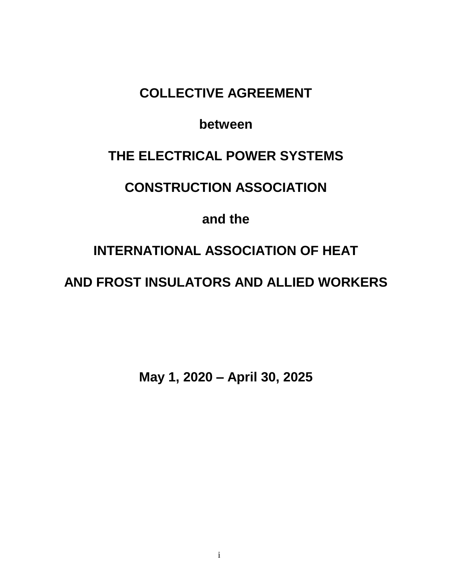# **COLLECTIVE AGREEMENT**

# **between**

# **THE ELECTRICAL POWER SYSTEMS**

# **CONSTRUCTION ASSOCIATION**

# **and the**

# **INTERNATIONAL ASSOCIATION OF HEAT**

# **AND FROST INSULATORS AND ALLIED WORKERS**

**May 1, 2020 – April 30, 2025**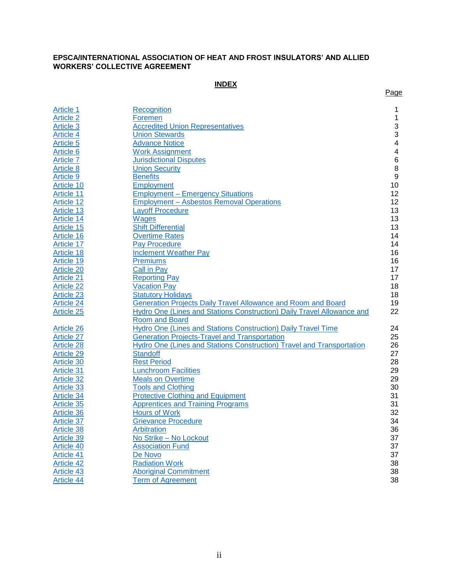#### **EPSCA/INTERNATIONAL ASSOCIATION OF HEAT AND FROST INSULATORS' AND ALLIED WORKERS' COLLECTIVE AGREEMENT**

## **INDEX**

Page

| Article 1         | Recognition                                                            | 1                       |
|-------------------|------------------------------------------------------------------------|-------------------------|
| <b>Article 2</b>  | Foremen                                                                | $\mathbf 1$             |
| Article 3         | <b>Accredited Union Representatives</b>                                | 3                       |
| Article 4         | <b>Union Stewards</b>                                                  | 3                       |
| Article 5         | <b>Advance Notice</b>                                                  | $\overline{\mathbf{4}}$ |
| Article 6         | <b>Work Assignment</b>                                                 | $\overline{4}$          |
| <b>Article 7</b>  | <b>Jurisdictional Disputes</b>                                         | $6\phantom{1}6$         |
| <b>Article 8</b>  | <b>Union Security</b>                                                  | 8                       |
|                   |                                                                        | 9                       |
| <b>Article 9</b>  | <b>Benefits</b>                                                        |                         |
| <b>Article 10</b> | Employment                                                             | 10                      |
| Article 11        | <b>Employment - Emergency Situations</b>                               | 12                      |
| <b>Article 12</b> | <b>Employment - Asbestos Removal Operations</b>                        | 12                      |
| Article 13        | <b>Layoff Procedure</b>                                                | 13                      |
| Article 14        | <b>Wages</b>                                                           | 13                      |
| Article 15        | <b>Shift Differential</b>                                              | 13                      |
| Article 16        | <b>Overtime Rates</b>                                                  | 14                      |
| Article 17        | <b>Pay Procedure</b>                                                   | 14                      |
| Article 18        | <b>Inclement Weather Pay</b>                                           | 16                      |
| Article 19        | <b>Premiums</b>                                                        | 16                      |
| Article 20        | <b>Call in Pay</b>                                                     | 17                      |
| Article 21        | <b>Reporting Pay</b>                                                   | 17                      |
| <b>Article 22</b> | <b>Vacation Pay</b>                                                    | 18                      |
| <b>Article 23</b> | <b>Statutory Holidays</b>                                              | 18                      |
| <b>Article 24</b> | Generation Projects Daily Travel Allowance and Room and Board          | 19                      |
| Article 25        | Hydro One (Lines and Stations Construction) Daily Travel Allowance and | 22                      |
|                   | Room and Board                                                         |                         |
| Article 26        | Hydro One (Lines and Stations Construction) Daily Travel Time          | 24                      |
| <b>Article 27</b> | <b>Generation Projects-Travel and Transportation</b>                   | 25                      |
| Article 28        | Hydro One (Lines and Stations Construction) Travel and Transportation  | 26                      |
| Article 29        | <b>Standoff</b>                                                        | 27                      |
| Article 30        | <b>Rest Period</b>                                                     | 28                      |
| Article 31        | <b>Lunchroom Facilities</b>                                            | 29                      |
| <b>Article 32</b> | <b>Meals on Overtime</b>                                               | 29                      |
|                   |                                                                        |                         |
| <b>Article 33</b> | <b>Tools and Clothing</b>                                              | 30                      |
| Article 34        | <b>Protective Clothing and Equipment</b>                               | 31                      |
| Article 35        | <b>Apprentices and Training Programs</b>                               | 31                      |
| <b>Article 36</b> | <b>Hours of Work</b>                                                   | 32                      |
| Article 37        | <b>Grievance Procedure</b>                                             | 34                      |
| <b>Article 38</b> | Arbitration                                                            | 36                      |
| <b>Article 39</b> | No Strike - No Lockout                                                 | 37                      |
| Article 40        | <b>Association Fund</b>                                                | 37                      |
| Article 41        | De Novo                                                                | 37                      |
| Article 42        | <b>Radiation Work</b>                                                  | 38                      |
| <b>Article 43</b> | <b>Aboriginal Commitment</b>                                           | 38                      |
| Article 44        | Term of Agreement                                                      | 38                      |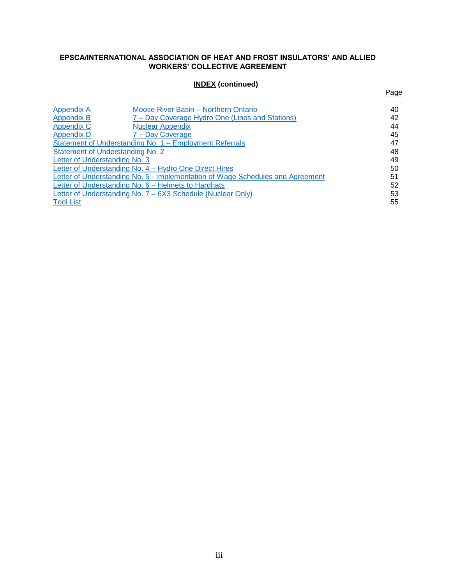#### **EPSCA/INTERNATIONAL ASSOCIATION OF HEAT AND FROST INSULATORS' AND ALLIED WORKERS' COLLECTIVE AGREEMENT**

## **INDEX (continued)**

Page

| Appendix A                                                                     | Moose River Basin - Northern Ontario            | 40 |
|--------------------------------------------------------------------------------|-------------------------------------------------|----|
| Appendix B                                                                     | 7 – Day Coverage Hydro One (Lines and Stations) | 42 |
| Appendix C                                                                     | <b>Nuclear Appendix</b>                         | 44 |
| <b>Appendix D</b>                                                              | 7 – Day Coverage                                | 45 |
| Statement of Understanding No. 1 – Employment Referrals                        |                                                 | 47 |
| Statement of Understanding No. 2                                               |                                                 | 48 |
| Letter of Understanding No. 3                                                  |                                                 | 49 |
| Letter of Understanding No. 4 – Hydro One Direct Hires                         |                                                 |    |
| Letter of Understanding No. 5 - Implementation of Wage Schedules and Agreement |                                                 |    |
| Letter of Understanding No. 6 - Helmets to Hardhats                            |                                                 |    |
| Letter of Understanding No. 7 – 6X3 Schedule (Nuclear Only)                    |                                                 |    |
| <b>Tool List</b>                                                               |                                                 | 55 |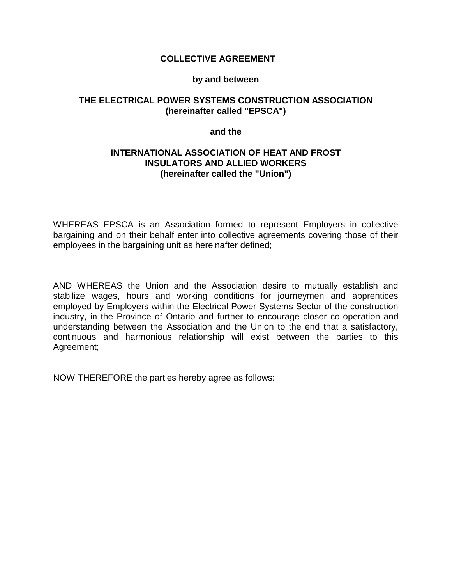#### **COLLECTIVE AGREEMENT**

#### **by and between**

## **THE ELECTRICAL POWER SYSTEMS CONSTRUCTION ASSOCIATION (hereinafter called "EPSCA")**

#### **and the**

#### **INTERNATIONAL ASSOCIATION OF HEAT AND FROST INSULATORS AND ALLIED WORKERS (hereinafter called the "Union")**

WHEREAS EPSCA is an Association formed to represent Employers in collective bargaining and on their behalf enter into collective agreements covering those of their employees in the bargaining unit as hereinafter defined;

AND WHEREAS the Union and the Association desire to mutually establish and stabilize wages, hours and working conditions for journeymen and apprentices employed by Employers within the Electrical Power Systems Sector of the construction industry, in the Province of Ontario and further to encourage closer co-operation and understanding between the Association and the Union to the end that a satisfactory, continuous and harmonious relationship will exist between the parties to this Agreement;

NOW THEREFORE the parties hereby agree as follows: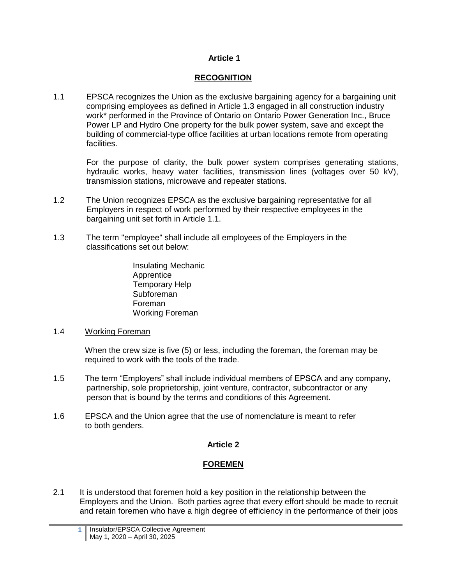### **RECOGNITION**

<span id="page-4-0"></span>1.1 EPSCA recognizes the Union as the exclusive bargaining agency for a bargaining unit comprising employees as defined in Article 1.3 engaged in all construction industry work\* performed in the Province of Ontario on Ontario Power Generation Inc., Bruce Power LP and Hydro One property for the bulk power system, save and except the building of commercial-type office facilities at urban locations remote from operating facilities.

For the purpose of clarity, the bulk power system comprises generating stations, hydraulic works, heavy water facilities, transmission lines (voltages over 50 kV), transmission stations, microwave and repeater stations.

- 1.2 The Union recognizes EPSCA as the exclusive bargaining representative for all Employers in respect of work performed by their respective employees in the bargaining unit set forth in Article 1.1.
- 1.3 The term "employee" shall include all employees of the Employers in the classifications set out below:
	- Insulating Mechanic Apprentice Temporary Help Subforeman Foreman Working Foreman
- 1.4 Working Foreman

When the crew size is five (5) or less, including the foreman, the foreman may be required to work with the tools of the trade.

- 1.5 The term "Employers" shall include individual members of EPSCA and any company, partnership, sole proprietorship, joint venture, contractor, subcontractor or any person that is bound by the terms and conditions of this Agreement.
- 1.6 EPSCA and the Union agree that the use of nomenclature is meant to refer to both genders.

# **Article 2**

# **FOREMEN**

<span id="page-4-1"></span>2.1 It is understood that foremen hold a key position in the relationship between the Employers and the Union. Both parties agree that every effort should be made to recruit and retain foremen who have a high degree of efficiency in the performance of their jobs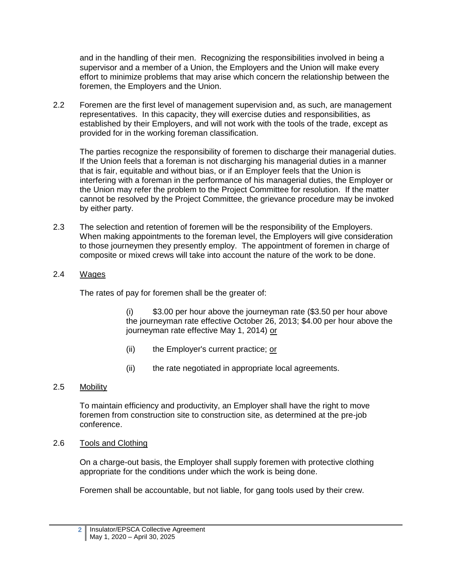and in the handling of their men. Recognizing the responsibilities involved in being a supervisor and a member of a Union, the Employers and the Union will make every effort to minimize problems that may arise which concern the relationship between the foremen, the Employers and the Union.

2.2 Foremen are the first level of management supervision and, as such, are management representatives. In this capacity, they will exercise duties and responsibilities, as established by their Employers, and will not work with the tools of the trade, except as provided for in the working foreman classification.

The parties recognize the responsibility of foremen to discharge their managerial duties. If the Union feels that a foreman is not discharging his managerial duties in a manner that is fair, equitable and without bias, or if an Employer feels that the Union is interfering with a foreman in the performance of his managerial duties, the Employer or the Union may refer the problem to the Project Committee for resolution. If the matter cannot be resolved by the Project Committee, the grievance procedure may be invoked by either party.

- 2.3 The selection and retention of foremen will be the responsibility of the Employers. When making appointments to the foreman level, the Employers will give consideration to those journeymen they presently employ. The appointment of foremen in charge of composite or mixed crews will take into account the nature of the work to be done.
- 2.4 Wages

The rates of pay for foremen shall be the greater of:

(i) \$3.00 per hour above the journeyman rate (\$3.50 per hour above the journeyman rate effective October 26, 2013; \$4.00 per hour above the journeyman rate effective May 1, 2014) or

- (ii) the Employer's current practice; or
- (ii) the rate negotiated in appropriate local agreements.
- 2.5 Mobility

To maintain efficiency and productivity, an Employer shall have the right to move foremen from construction site to construction site, as determined at the pre-job conference.

2.6 Tools and Clothing

On a charge-out basis, the Employer shall supply foremen with protective clothing appropriate for the conditions under which the work is being done.

Foremen shall be accountable, but not liable, for gang tools used by their crew.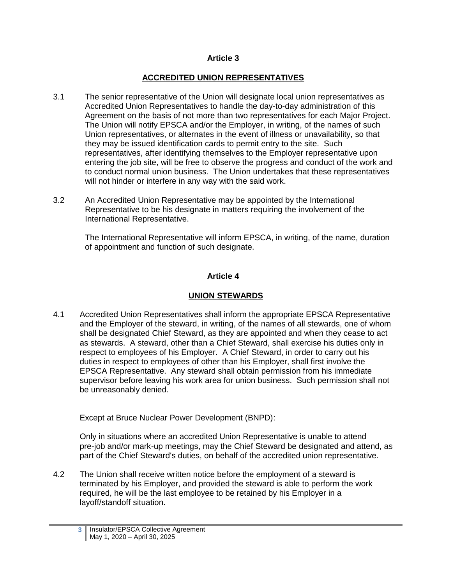## **ACCREDITED UNION REPRESENTATIVES**

- <span id="page-6-0"></span>3.1 The senior representative of the Union will designate local union representatives as Accredited Union Representatives to handle the day-to-day administration of this Agreement on the basis of not more than two representatives for each Major Project. The Union will notify EPSCA and/or the Employer, in writing, of the names of such Union representatives, or alternates in the event of illness or unavailability, so that they may be issued identification cards to permit entry to the site. Such representatives, after identifying themselves to the Employer representative upon entering the job site, will be free to observe the progress and conduct of the work and to conduct normal union business. The Union undertakes that these representatives will not hinder or interfere in any way with the said work.
- 3.2 An Accredited Union Representative may be appointed by the International Representative to be his designate in matters requiring the involvement of the International Representative.

The International Representative will inform EPSCA, in writing, of the name, duration of appointment and function of such designate.

## **Article 4**

# **UNION STEWARDS**

<span id="page-6-1"></span>4.1 Accredited Union Representatives shall inform the appropriate EPSCA Representative and the Employer of the steward, in writing, of the names of all stewards, one of whom shall be designated Chief Steward, as they are appointed and when they cease to act as stewards. A steward, other than a Chief Steward, shall exercise his duties only in respect to employees of his Employer. A Chief Steward, in order to carry out his duties in respect to employees of other than his Employer, shall first involve the EPSCA Representative. Any steward shall obtain permission from his immediate supervisor before leaving his work area for union business. Such permission shall not be unreasonably denied.

Except at Bruce Nuclear Power Development (BNPD):

Only in situations where an accredited Union Representative is unable to attend pre-job and/or mark-up meetings, may the Chief Steward be designated and attend, as part of the Chief Steward's duties, on behalf of the accredited union representative.

4.2 The Union shall receive written notice before the employment of a steward is terminated by his Employer, and provided the steward is able to perform the work required, he will be the last employee to be retained by his Employer in a layoff/standoff situation.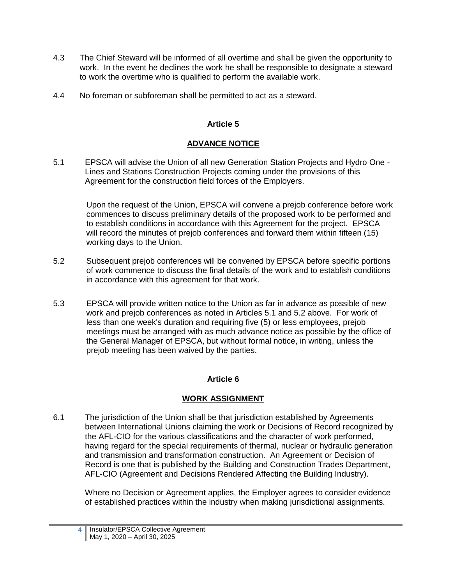- 4.3 The Chief Steward will be informed of all overtime and shall be given the opportunity to work. In the event he declines the work he shall be responsible to designate a steward to work the overtime who is qualified to perform the available work.
- <span id="page-7-0"></span>4.4 No foreman or subforeman shall be permitted to act as a steward.

## **ADVANCE NOTICE**

5.1 EPSCA will advise the Union of all new Generation Station Projects and Hydro One - Lines and Stations Construction Projects coming under the provisions of this Agreement for the construction field forces of the Employers.

Upon the request of the Union, EPSCA will convene a prejob conference before work commences to discuss preliminary details of the proposed work to be performed and to establish conditions in accordance with this Agreement for the project. EPSCA will record the minutes of prejob conferences and forward them within fifteen (15) working days to the Union.

- 5.2 Subsequent prejob conferences will be convened by EPSCA before specific portions of work commence to discuss the final details of the work and to establish conditions in accordance with this agreement for that work.
- 5.3 EPSCA will provide written notice to the Union as far in advance as possible of new work and prejob conferences as noted in Articles 5.1 and 5.2 above. For work of less than one week's duration and requiring five (5) or less employees, prejob meetings must be arranged with as much advance notice as possible by the office of the General Manager of EPSCA, but without formal notice, in writing, unless the prejob meeting has been waived by the parties.

### **Article 6**

### **WORK ASSIGNMENT**

<span id="page-7-1"></span>6.1 The jurisdiction of the Union shall be that jurisdiction established by Agreements between International Unions claiming the work or Decisions of Record recognized by the AFL-CIO for the various classifications and the character of work performed, having regard for the special requirements of thermal, nuclear or hydraulic generation and transmission and transformation construction. An Agreement or Decision of Record is one that is published by the Building and Construction Trades Department, AFL-CIO (Agreement and Decisions Rendered Affecting the Building Industry).

Where no Decision or Agreement applies, the Employer agrees to consider evidence of established practices within the industry when making jurisdictional assignments.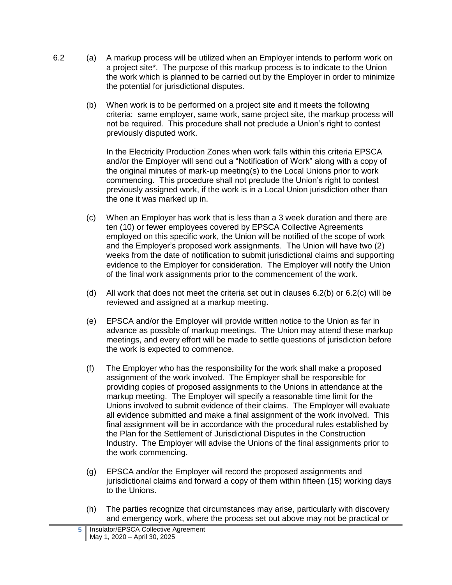- 6.2 (a) A markup process will be utilized when an Employer intends to perform work on a project site\*. The purpose of this markup process is to indicate to the Union the work which is planned to be carried out by the Employer in order to minimize the potential for jurisdictional disputes.
	- (b) When work is to be performed on a project site and it meets the following criteria: same employer, same work, same project site, the markup process will not be required. This procedure shall not preclude a Union's right to contest previously disputed work.

In the Electricity Production Zones when work falls within this criteria EPSCA and/or the Employer will send out a "Notification of Work" along with a copy of the original minutes of mark-up meeting(s) to the Local Unions prior to work commencing. This procedure shall not preclude the Union's right to contest previously assigned work, if the work is in a Local Union jurisdiction other than the one it was marked up in.

- (c) When an Employer has work that is less than a 3 week duration and there are ten (10) or fewer employees covered by EPSCA Collective Agreements employed on this specific work, the Union will be notified of the scope of work and the Employer's proposed work assignments. The Union will have two (2) weeks from the date of notification to submit jurisdictional claims and supporting evidence to the Employer for consideration. The Employer will notify the Union of the final work assignments prior to the commencement of the work.
- (d) All work that does not meet the criteria set out in clauses 6.2(b) or 6.2(c) will be reviewed and assigned at a markup meeting.
- (e) EPSCA and/or the Employer will provide written notice to the Union as far in advance as possible of markup meetings. The Union may attend these markup meetings, and every effort will be made to settle questions of jurisdiction before the work is expected to commence.
- (f) The Employer who has the responsibility for the work shall make a proposed assignment of the work involved. The Employer shall be responsible for providing copies of proposed assignments to the Unions in attendance at the markup meeting. The Employer will specify a reasonable time limit for the Unions involved to submit evidence of their claims. The Employer will evaluate all evidence submitted and make a final assignment of the work involved. This final assignment will be in accordance with the procedural rules established by the Plan for the Settlement of Jurisdictional Disputes in the Construction Industry. The Employer will advise the Unions of the final assignments prior to the work commencing.
- (g) EPSCA and/or the Employer will record the proposed assignments and jurisdictional claims and forward a copy of them within fifteen (15) working days to the Unions.
- (h) The parties recognize that circumstances may arise, particularly with discovery and emergency work, where the process set out above may not be practical or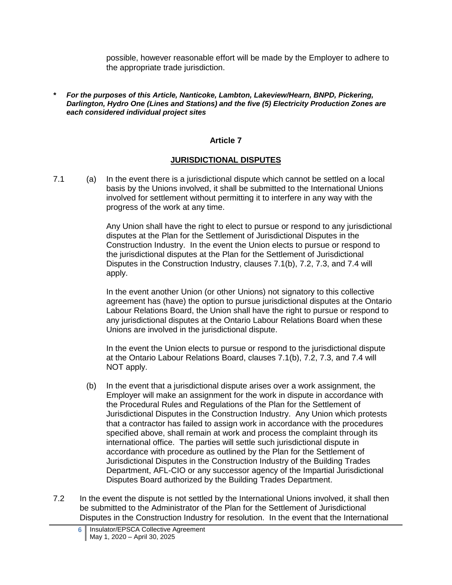possible, however reasonable effort will be made by the Employer to adhere to the appropriate trade jurisdiction.

*\* For the purposes of this Article, Nanticoke, Lambton, Lakeview/Hearn, BNPD, Pickering, Darlington, Hydro One (Lines and Stations) and the five (5) Electricity Production Zones are each considered individual project sites*

#### **Article 7**

#### **JURISDICTIONAL DISPUTES**

<span id="page-9-0"></span>7.1 (a) In the event there is a jurisdictional dispute which cannot be settled on a local basis by the Unions involved, it shall be submitted to the International Unions involved for settlement without permitting it to interfere in any way with the progress of the work at any time.

> Any Union shall have the right to elect to pursue or respond to any jurisdictional disputes at the Plan for the Settlement of Jurisdictional Disputes in the Construction Industry. In the event the Union elects to pursue or respond to the jurisdictional disputes at the Plan for the Settlement of Jurisdictional Disputes in the Construction Industry, clauses 7.1(b), 7.2, 7.3, and 7.4 will apply.

> In the event another Union (or other Unions) not signatory to this collective agreement has (have) the option to pursue jurisdictional disputes at the Ontario Labour Relations Board, the Union shall have the right to pursue or respond to any jurisdictional disputes at the Ontario Labour Relations Board when these Unions are involved in the jurisdictional dispute.

In the event the Union elects to pursue or respond to the jurisdictional dispute at the Ontario Labour Relations Board, clauses 7.1(b), 7.2, 7.3, and 7.4 will NOT apply.

- (b) In the event that a jurisdictional dispute arises over a work assignment, the Employer will make an assignment for the work in dispute in accordance with the Procedural Rules and Regulations of the Plan for the Settlement of Jurisdictional Disputes in the Construction Industry. Any Union which protests that a contractor has failed to assign work in accordance with the procedures specified above, shall remain at work and process the complaint through its international office. The parties will settle such jurisdictional dispute in accordance with procedure as outlined by the Plan for the Settlement of Jurisdictional Disputes in the Construction Industry of the Building Trades Department, AFL-CIO or any successor agency of the Impartial Jurisdictional Disputes Board authorized by the Building Trades Department.
- 7.2 In the event the dispute is not settled by the International Unions involved, it shall then be submitted to the Administrator of the Plan for the Settlement of Jurisdictional Disputes in the Construction Industry for resolution. In the event that the International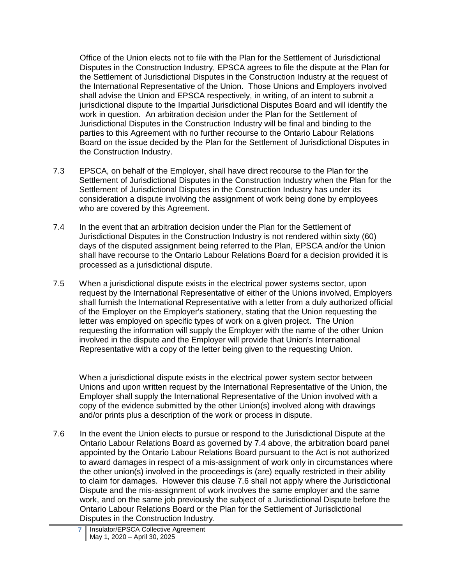Office of the Union elects not to file with the Plan for the Settlement of Jurisdictional Disputes in the Construction Industry, EPSCA agrees to file the dispute at the Plan for the Settlement of Jurisdictional Disputes in the Construction Industry at the request of the International Representative of the Union. Those Unions and Employers involved shall advise the Union and EPSCA respectively, in writing, of an intent to submit a jurisdictional dispute to the Impartial Jurisdictional Disputes Board and will identify the work in question. An arbitration decision under the Plan for the Settlement of Jurisdictional Disputes in the Construction Industry will be final and binding to the parties to this Agreement with no further recourse to the Ontario Labour Relations Board on the issue decided by the Plan for the Settlement of Jurisdictional Disputes in the Construction Industry.

- 7.3 EPSCA, on behalf of the Employer, shall have direct recourse to the Plan for the Settlement of Jurisdictional Disputes in the Construction Industry when the Plan for the Settlement of Jurisdictional Disputes in the Construction Industry has under its consideration a dispute involving the assignment of work being done by employees who are covered by this Agreement.
- 7.4 In the event that an arbitration decision under the Plan for the Settlement of Jurisdictional Disputes in the Construction Industry is not rendered within sixty (60) days of the disputed assignment being referred to the Plan, EPSCA and/or the Union shall have recourse to the Ontario Labour Relations Board for a decision provided it is processed as a jurisdictional dispute.
- 7.5 When a jurisdictional dispute exists in the electrical power systems sector, upon request by the International Representative of either of the Unions involved, Employers shall furnish the International Representative with a letter from a duly authorized official of the Employer on the Employer's stationery, stating that the Union requesting the letter was employed on specific types of work on a given project. The Union requesting the information will supply the Employer with the name of the other Union involved in the dispute and the Employer will provide that Union's International Representative with a copy of the letter being given to the requesting Union.

When a jurisdictional dispute exists in the electrical power system sector between Unions and upon written request by the International Representative of the Union, the Employer shall supply the International Representative of the Union involved with a copy of the evidence submitted by the other Union(s) involved along with drawings and/or prints plus a description of the work or process in dispute.

7.6 In the event the Union elects to pursue or respond to the Jurisdictional Dispute at the Ontario Labour Relations Board as governed by 7.4 above, the arbitration board panel appointed by the Ontario Labour Relations Board pursuant to the Act is not authorized to award damages in respect of a mis-assignment of work only in circumstances where the other union(s) involved in the proceedings is (are) equally restricted in their ability to claim for damages. However this clause 7.6 shall not apply where the Jurisdictional Dispute and the mis-assignment of work involves the same employer and the same work, and on the same job previously the subject of a Jurisdictional Dispute before the Ontario Labour Relations Board or the Plan for the Settlement of Jurisdictional Disputes in the Construction Industry.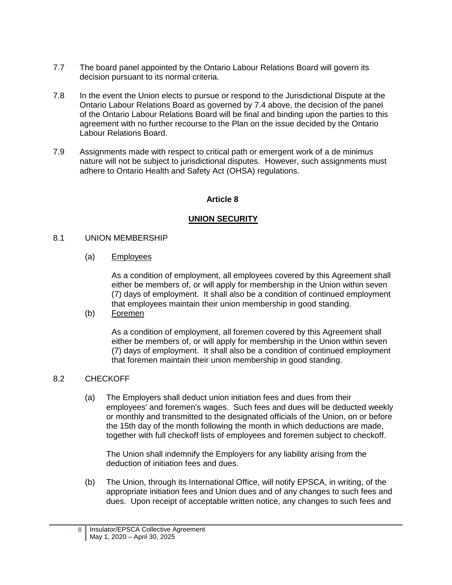- 7.7 The board panel appointed by the Ontario Labour Relations Board will govern its decision pursuant to its normal criteria.
- 7.8 In the event the Union elects to pursue or respond to the Jurisdictional Dispute at the Ontario Labour Relations Board as governed by 7.4 above, the decision of the panel of the Ontario Labour Relations Board will be final and binding upon the parties to this agreement with no further recourse to the Plan on the issue decided by the Ontario Labour Relations Board.
- <span id="page-11-0"></span>7.9 Assignments made with respect to critical path or emergent work of a de minimus nature will not be subject to jurisdictional disputes. However, such assignments must adhere to Ontario Health and Safety Act (OHSA) regulations.

### **UNION SECURITY**

#### 8.1 UNION MEMBERSHIP

(a) Employees

As a condition of employment, all employees covered by this Agreement shall either be members of, or will apply for membership in the Union within seven (7) days of employment. It shall also be a condition of continued employment that employees maintain their union membership in good standing.

(b) Foremen

As a condition of employment, all foremen covered by this Agreement shall either be members of, or will apply for membership in the Union within seven (7) days of employment. It shall also be a condition of continued employment that foremen maintain their union membership in good standing.

### 8.2 CHECKOFF

(a) The Employers shall deduct union initiation fees and dues from their employees' and foremen's wages. Such fees and dues will be deducted weekly or monthly and transmitted to the designated officials of the Union, on or before the 15th day of the month following the month in which deductions are made, together with full checkoff lists of employees and foremen subject to checkoff.

The Union shall indemnify the Employers for any liability arising from the deduction of initiation fees and dues.

(b) The Union, through its International Office, will notify EPSCA, in writing, of the appropriate initiation fees and Union dues and of any changes to such fees and dues. Upon receipt of acceptable written notice, any changes to such fees and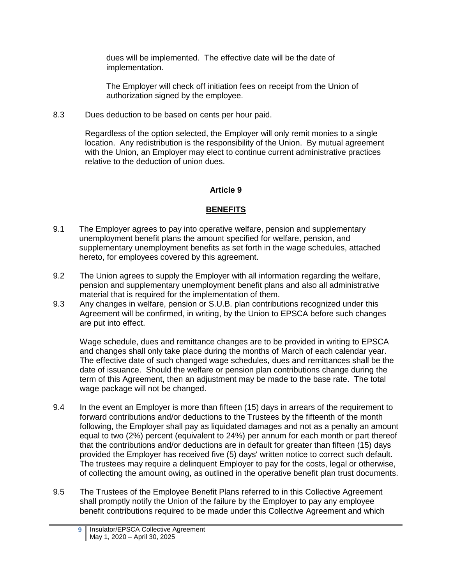dues will be implemented. The effective date will be the date of implementation.

The Employer will check off initiation fees on receipt from the Union of authorization signed by the employee.

8.3 Dues deduction to be based on cents per hour paid.

Regardless of the option selected, the Employer will only remit monies to a single location. Any redistribution is the responsibility of the Union. By mutual agreement with the Union, an Employer may elect to continue current administrative practices relative to the deduction of union dues.

# **Article 9**

# **BENEFITS**

- <span id="page-12-0"></span>9.1 The Employer agrees to pay into operative welfare, pension and supplementary unemployment benefit plans the amount specified for welfare, pension, and supplementary unemployment benefits as set forth in the wage schedules, attached hereto, for employees covered by this agreement.
- 9.2 The Union agrees to supply the Employer with all information regarding the welfare, pension and supplementary unemployment benefit plans and also all administrative material that is required for the implementation of them.
- 9.3 Any changes in welfare, pension or S.U.B. plan contributions recognized under this Agreement will be confirmed, in writing, by the Union to EPSCA before such changes are put into effect.

Wage schedule, dues and remittance changes are to be provided in writing to EPSCA and changes shall only take place during the months of March of each calendar year. The effective date of such changed wage schedules, dues and remittances shall be the date of issuance. Should the welfare or pension plan contributions change during the term of this Agreement, then an adjustment may be made to the base rate. The total wage package will not be changed.

- 9.4 In the event an Employer is more than fifteen (15) days in arrears of the requirement to forward contributions and/or deductions to the Trustees by the fifteenth of the month following, the Employer shall pay as liquidated damages and not as a penalty an amount equal to two (2%) percent (equivalent to 24%) per annum for each month or part thereof that the contributions and/or deductions are in default for greater than fifteen (15) days provided the Employer has received five (5) days' written notice to correct such default. The trustees may require a delinquent Employer to pay for the costs, legal or otherwise, of collecting the amount owing, as outlined in the operative benefit plan trust documents.
- 9.5 The Trustees of the Employee Benefit Plans referred to in this Collective Agreement shall promptly notify the Union of the failure by the Employer to pay any employee benefit contributions required to be made under this Collective Agreement and which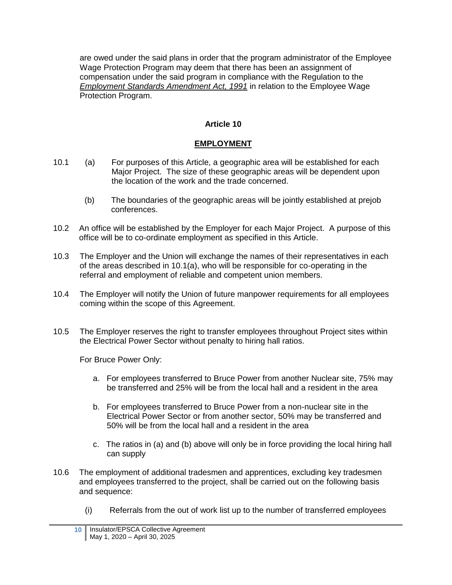are owed under the said plans in order that the program administrator of the Employee Wage Protection Program may deem that there has been an assignment of compensation under the said program in compliance with the Regulation to the *Employment Standards Amendment Act, 1991* in relation to the Employee Wage Protection Program.

# **Article 10**

# **EMPLOYMENT**

- <span id="page-13-0"></span>10.1 (a) For purposes of this Article, a geographic area will be established for each Major Project. The size of these geographic areas will be dependent upon the location of the work and the trade concerned.
	- (b) The boundaries of the geographic areas will be jointly established at prejob conferences.
- 10.2 An office will be established by the Employer for each Major Project. A purpose of this office will be to co-ordinate employment as specified in this Article.
- 10.3 The Employer and the Union will exchange the names of their representatives in each of the areas described in 10.1(a), who will be responsible for co-operating in the referral and employment of reliable and competent union members.
- 10.4 The Employer will notify the Union of future manpower requirements for all employees coming within the scope of this Agreement.
- 10.5 The Employer reserves the right to transfer employees throughout Project sites within the Electrical Power Sector without penalty to hiring hall ratios.

For Bruce Power Only:

- a. For employees transferred to Bruce Power from another Nuclear site, 75% may be transferred and 25% will be from the local hall and a resident in the area
- b. For employees transferred to Bruce Power from a non-nuclear site in the Electrical Power Sector or from another sector, 50% may be transferred and 50% will be from the local hall and a resident in the area
- c. The ratios in (a) and (b) above will only be in force providing the local hiring hall can supply
- 10.6 The employment of additional tradesmen and apprentices, excluding key tradesmen and employees transferred to the project, shall be carried out on the following basis and sequence:
	- (i) Referrals from the out of work list up to the number of transferred employees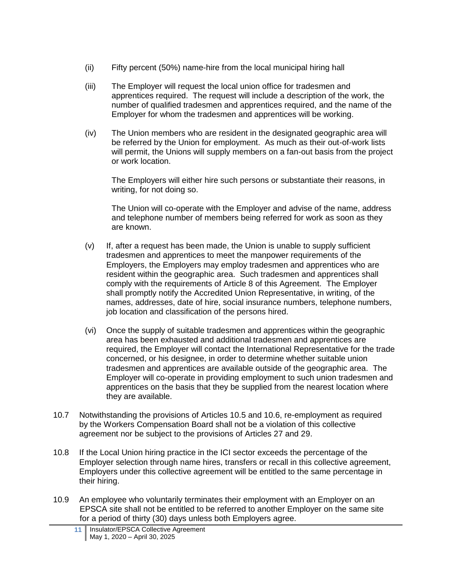- (ii) Fifty percent (50%) name-hire from the local municipal hiring hall
- (iii) The Employer will request the local union office for tradesmen and apprentices required. The request will include a description of the work, the number of qualified tradesmen and apprentices required, and the name of the Employer for whom the tradesmen and apprentices will be working.
- (iv) The Union members who are resident in the designated geographic area will be referred by the Union for employment. As much as their out-of-work lists will permit, the Unions will supply members on a fan-out basis from the project or work location.

The Employers will either hire such persons or substantiate their reasons, in writing, for not doing so.

The Union will co-operate with the Employer and advise of the name, address and telephone number of members being referred for work as soon as they are known.

- (v) If, after a request has been made, the Union is unable to supply sufficient tradesmen and apprentices to meet the manpower requirements of the Employers, the Employers may employ tradesmen and apprentices who are resident within the geographic area. Such tradesmen and apprentices shall comply with the requirements of Article 8 of this Agreement. The Employer shall promptly notify the Accredited Union Representative, in writing, of the names, addresses, date of hire, social insurance numbers, telephone numbers, job location and classification of the persons hired.
- (vi) Once the supply of suitable tradesmen and apprentices within the geographic area has been exhausted and additional tradesmen and apprentices are required, the Employer will contact the International Representative for the trade concerned, or his designee, in order to determine whether suitable union tradesmen and apprentices are available outside of the geographic area. The Employer will co-operate in providing employment to such union tradesmen and apprentices on the basis that they be supplied from the nearest location where they are available.
- 10.7 Notwithstanding the provisions of Articles 10.5 and 10.6, re-employment as required by the Workers Compensation Board shall not be a violation of this collective agreement nor be subject to the provisions of Articles 27 and 29.
- 10.8 If the Local Union hiring practice in the ICI sector exceeds the percentage of the Employer selection through name hires, transfers or recall in this collective agreement, Employers under this collective agreement will be entitled to the same percentage in their hiring.
- 10.9 An employee who voluntarily terminates their employment with an Employer on an EPSCA site shall not be entitled to be referred to another Employer on the same site for a period of thirty (30) days unless both Employers agree.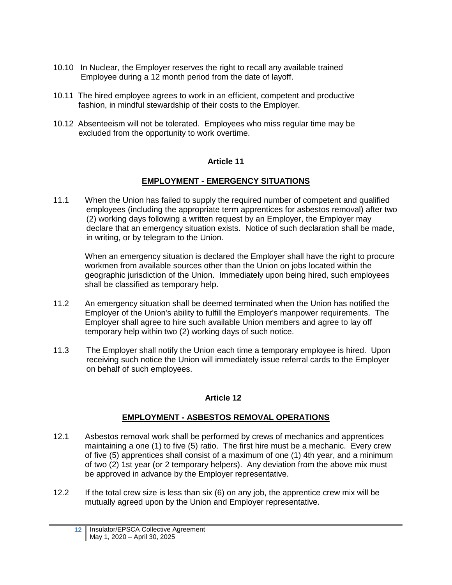- 10.10 In Nuclear, the Employer reserves the right to recall any available trained Employee during a 12 month period from the date of layoff.
- 10.11 The hired employee agrees to work in an efficient, competent and productive fashion, in mindful stewardship of their costs to the Employer.
- <span id="page-15-0"></span>10.12 Absenteeism will not be tolerated. Employees who miss regular time may be excluded from the opportunity to work overtime.

### **EMPLOYMENT - EMERGENCY SITUATIONS**

11.1 When the Union has failed to supply the required number of competent and qualified employees (including the appropriate term apprentices for asbestos removal) after two (2) working days following a written request by an Employer, the Employer may declare that an emergency situation exists. Notice of such declaration shall be made, in writing, or by telegram to the Union.

When an emergency situation is declared the Employer shall have the right to procure workmen from available sources other than the Union on jobs located within the geographic jurisdiction of the Union. Immediately upon being hired, such employees shall be classified as temporary help.

- 11.2 An emergency situation shall be deemed terminated when the Union has notified the Employer of the Union's ability to fulfill the Employer's manpower requirements. The Employer shall agree to hire such available Union members and agree to lay off temporary help within two (2) working days of such notice.
- <span id="page-15-1"></span>11.3 The Employer shall notify the Union each time a temporary employee is hired. Upon receiving such notice the Union will immediately issue referral cards to the Employer on behalf of such employees.

### **Article 12**

### **EMPLOYMENT - ASBESTOS REMOVAL OPERATIONS**

- 12.1 Asbestos removal work shall be performed by crews of mechanics and apprentices maintaining a one (1) to five (5) ratio. The first hire must be a mechanic. Every crew of five (5) apprentices shall consist of a maximum of one (1) 4th year, and a minimum of two (2) 1st year (or 2 temporary helpers). Any deviation from the above mix must be approved in advance by the Employer representative.
- 12.2 If the total crew size is less than six (6) on any job, the apprentice crew mix will be mutually agreed upon by the Union and Employer representative.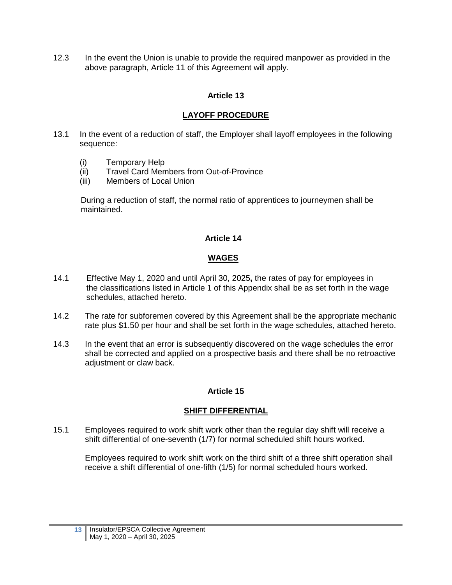<span id="page-16-0"></span>12.3 In the event the Union is unable to provide the required manpower as provided in the above paragraph, Article 11 of this Agreement will apply.

# **Article 13**

# **LAYOFF PROCEDURE**

- 13.1 In the event of a reduction of staff, the Employer shall layoff employees in the following sequence:
	- (i) Temporary Help
	- (ii) Travel Card Members from Out-of-Province
	- (iii) Members of Local Union

 During a reduction of staff, the normal ratio of apprentices to journeymen shall be maintained.

## **Article 14**

# **WAGES**

- <span id="page-16-1"></span>14.1 Effective May 1, 2020 and until April 30, 2025**,** the rates of pay for employees in the classifications listed in Article 1 of this Appendix shall be as set forth in the wage schedules, attached hereto.
- 14.2 The rate for subforemen covered by this Agreement shall be the appropriate mechanic rate plus \$1.50 per hour and shall be set forth in the wage schedules, attached hereto.
- 14.3 In the event that an error is subsequently discovered on the wage schedules the error shall be corrected and applied on a prospective basis and there shall be no retroactive adjustment or claw back.

# **Article 15**

### **SHIFT DIFFERENTIAL**

<span id="page-16-2"></span>15.1 Employees required to work shift work other than the regular day shift will receive a shift differential of one-seventh (1/7) for normal scheduled shift hours worked.

Employees required to work shift work on the third shift of a three shift operation shall receive a shift differential of one-fifth (1/5) for normal scheduled hours worked.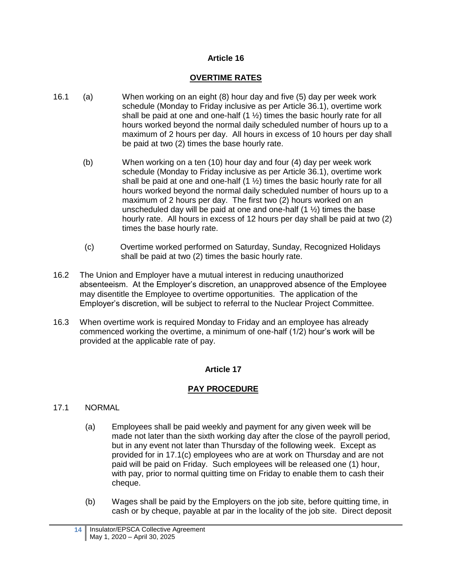#### **OVERTIME RATES**

- <span id="page-17-0"></span>16.1 (a) When working on an eight (8) hour day and five (5) day per week work schedule (Monday to Friday inclusive as per Article 36.1), overtime work shall be paid at one and one-half  $(1 \frac{1}{2})$  times the basic hourly rate for all hours worked beyond the normal daily scheduled number of hours up to a maximum of 2 hours per day. All hours in excess of 10 hours per day shall be paid at two (2) times the base hourly rate.
	- (b) When working on a ten (10) hour day and four (4) day per week work schedule (Monday to Friday inclusive as per Article 36.1), overtime work shall be paid at one and one-half  $(1 \frac{1}{2})$  times the basic hourly rate for all hours worked beyond the normal daily scheduled number of hours up to a maximum of 2 hours per day. The first two (2) hours worked on an unscheduled day will be paid at one and one-half  $(1 \frac{1}{2})$  times the base hourly rate. All hours in excess of 12 hours per day shall be paid at two (2) times the base hourly rate.
	- (c) Overtime worked performed on Saturday, Sunday, Recognized Holidays shall be paid at two (2) times the basic hourly rate.
- 16.2 The Union and Employer have a mutual interest in reducing unauthorized absenteeism. At the Employer's discretion, an unapproved absence of the Employee may disentitle the Employee to overtime opportunities. The application of the Employer's discretion, will be subject to referral to the Nuclear Project Committee.
- <span id="page-17-1"></span>16.3 When overtime work is required Monday to Friday and an employee has already commenced working the overtime, a minimum of one-half (1/2) hour's work will be provided at the applicable rate of pay.

### **Article 17**

### **PAY PROCEDURE**

#### 17.1 NORMAL

- (a) Employees shall be paid weekly and payment for any given week will be made not later than the sixth working day after the close of the payroll period, but in any event not later than Thursday of the following week. Except as provided for in 17.1(c) employees who are at work on Thursday and are not paid will be paid on Friday. Such employees will be released one (1) hour, with pay, prior to normal quitting time on Friday to enable them to cash their cheque.
- (b) Wages shall be paid by the Employers on the job site, before quitting time, in cash or by cheque, payable at par in the locality of the job site. Direct deposit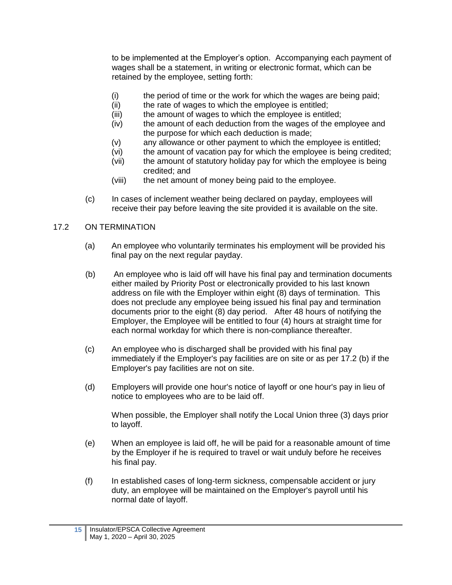to be implemented at the Employer's option. Accompanying each payment of wages shall be a statement, in writing or electronic format, which can be retained by the employee, setting forth:

- (i) the period of time or the work for which the wages are being paid;
- (ii) the rate of wages to which the employee is entitled;
- (iii) the amount of wages to which the employee is entitled;
- (iv) the amount of each deduction from the wages of the employee and the purpose for which each deduction is made;
- (v) any allowance or other payment to which the employee is entitled;
- (vi) the amount of vacation pay for which the employee is being credited;
- (vii) the amount of statutory holiday pay for which the employee is being credited; and
- (viii) the net amount of money being paid to the employee.
- (c) In cases of inclement weather being declared on payday, employees will receive their pay before leaving the site provided it is available on the site.

# 17.2 ON TERMINATION

- (a) An employee who voluntarily terminates his employment will be provided his final pay on the next regular payday.
- (b) An employee who is laid off will have his final pay and termination documents either mailed by Priority Post or electronically provided to his last known address on file with the Employer within eight (8) days of termination. This does not preclude any employee being issued his final pay and termination documents prior to the eight (8) day period. After 48 hours of notifying the Employer, the Employee will be entitled to four (4) hours at straight time for each normal workday for which there is non-compliance thereafter.
- (c) An employee who is discharged shall be provided with his final pay immediately if the Employer's pay facilities are on site or as per 17.2 (b) if the Employer's pay facilities are not on site.
- (d) Employers will provide one hour's notice of layoff or one hour's pay in lieu of notice to employees who are to be laid off.

When possible, the Employer shall notify the Local Union three (3) days prior to layoff.

- (e) When an employee is laid off, he will be paid for a reasonable amount of time by the Employer if he is required to travel or wait unduly before he receives his final pay.
- (f) In established cases of long-term sickness, compensable accident or jury duty, an employee will be maintained on the Employer's payroll until his normal date of layoff.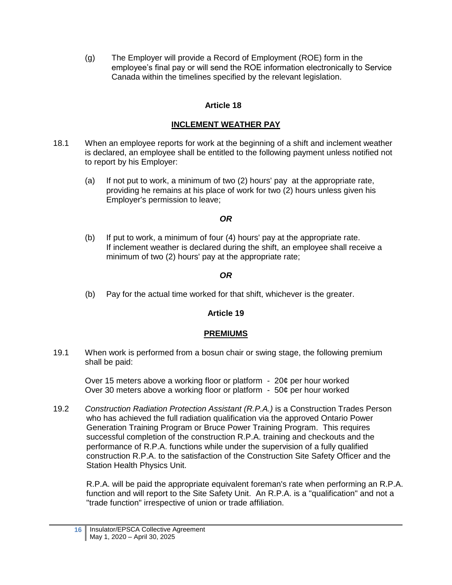(g) The Employer will provide a Record of Employment (ROE) form in the employee's final pay or will send the ROE information electronically to Service Canada within the timelines specified by the relevant legislation.

# **Article 18**

## **INCLEMENT WEATHER PAY**

- <span id="page-19-0"></span>18.1 When an employee reports for work at the beginning of a shift and inclement weather is declared, an employee shall be entitled to the following payment unless notified not to report by his Employer:
	- (a) If not put to work, a minimum of two (2) hours' pay at the appropriate rate, providing he remains at his place of work for two (2) hours unless given his Employer's permission to leave;

## *OR*

(b) If put to work, a minimum of four (4) hours' pay at the appropriate rate. If inclement weather is declared during the shift, an employee shall receive a minimum of two (2) hours' pay at the appropriate rate;

## *OR*

<span id="page-19-1"></span>(b) Pay for the actual time worked for that shift, whichever is the greater.

### **Article 19**

### **PREMIUMS**

19.1 When work is performed from a bosun chair or swing stage, the following premium shall be paid:

Over 15 meters above a working floor or platform - 20¢ per hour worked Over 30 meters above a working floor or platform - 50¢ per hour worked

19.2 *Construction Radiation Protection Assistant (R.P.A.)* is a Construction Trades Person who has achieved the full radiation qualification via the approved Ontario Power Generation Training Program or Bruce Power Training Program. This requires successful completion of the construction R.P.A. training and checkouts and the performance of R.P.A. functions while under the supervision of a fully qualified construction R.P.A. to the satisfaction of the Construction Site Safety Officer and the Station Health Physics Unit.

R.P.A. will be paid the appropriate equivalent foreman's rate when performing an R.P.A. function and will report to the Site Safety Unit. An R.P.A. is a "qualification" and not a "trade function" irrespective of union or trade affiliation.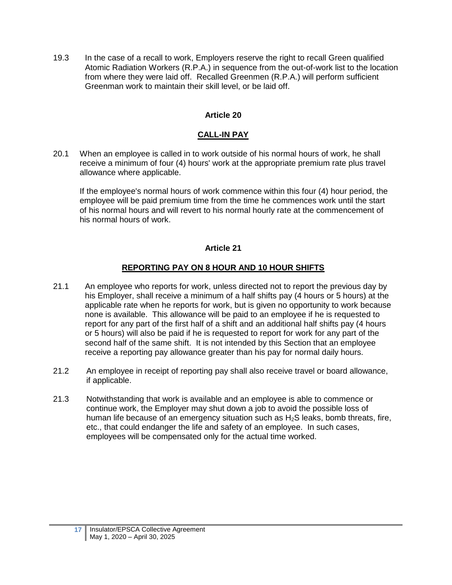19.3 In the case of a recall to work, Employers reserve the right to recall Green qualified Atomic Radiation Workers (R.P.A.) in sequence from the out-of-work list to the location from where they were laid off. Recalled Greenmen (R.P.A.) will perform sufficient Greenman work to maintain their skill level, or be laid off.

## **Article 20**

### **CALL-IN PAY**

<span id="page-20-0"></span>20.1 When an employee is called in to work outside of his normal hours of work, he shall receive a minimum of four (4) hours' work at the appropriate premium rate plus travel allowance where applicable.

If the employee's normal hours of work commence within this four (4) hour period, the employee will be paid premium time from the time he commences work until the start of his normal hours and will revert to his normal hourly rate at the commencement of his normal hours of work.

#### **Article 21**

### **REPORTING PAY ON 8 HOUR AND 10 HOUR SHIFTS**

- <span id="page-20-1"></span>21.1 An employee who reports for work, unless directed not to report the previous day by his Employer, shall receive a minimum of a half shifts pay (4 hours or 5 hours) at the applicable rate when he reports for work, but is given no opportunity to work because none is available. This allowance will be paid to an employee if he is requested to report for any part of the first half of a shift and an additional half shifts pay (4 hours or 5 hours) will also be paid if he is requested to report for work for any part of the second half of the same shift. It is not intended by this Section that an employee receive a reporting pay allowance greater than his pay for normal daily hours.
- 21.2 An employee in receipt of reporting pay shall also receive travel or board allowance, if applicable.
- 21.3 Notwithstanding that work is available and an employee is able to commence or continue work, the Employer may shut down a job to avoid the possible loss of human life because of an emergency situation such as  $H_2S$  leaks, bomb threats, fire, etc., that could endanger the life and safety of an employee. In such cases, employees will be compensated only for the actual time worked.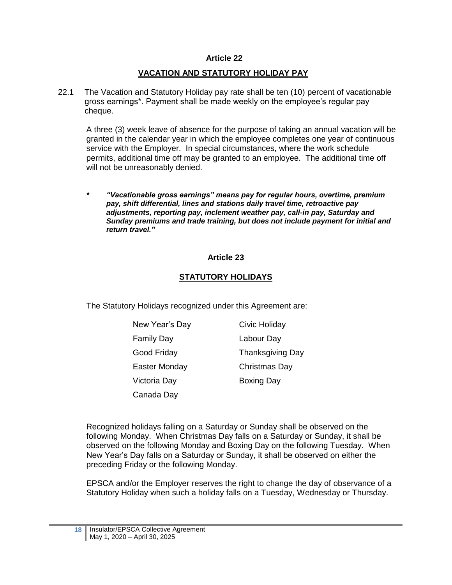#### **VACATION AND STATUTORY HOLIDAY PAY**

<span id="page-21-0"></span>22.1 The Vacation and Statutory Holiday pay rate shall be ten (10) percent of vacationable gross earnings\*. Payment shall be made weekly on the employee's regular pay cheque.

A three (3) week leave of absence for the purpose of taking an annual vacation will be granted in the calendar year in which the employee completes one year of continuous service with the Employer. In special circumstances, where the work schedule permits, additional time off may be granted to an employee. The additional time off will not be unreasonably denied.

*\* "Vacationable gross earnings" means pay for regular hours, overtime, premium pay, shift differential, lines and stations daily travel time, retroactive pay adjustments, reporting pay, inclement weather pay, call-in pay, Saturday and Sunday premiums and trade training, but does not include payment for initial and return travel."*

#### **Article 23**

#### **STATUTORY HOLIDAYS**

<span id="page-21-1"></span>The Statutory Holidays recognized under this Agreement are:

| New Year's Day    | Civic Holiday           |
|-------------------|-------------------------|
| <b>Family Day</b> | Labour Day              |
| Good Friday       | <b>Thanksgiving Day</b> |
| Easter Monday     | Christmas Day           |
| Victoria Day      | <b>Boxing Day</b>       |
| Canada Dav        |                         |

Recognized holidays falling on a Saturday or Sunday shall be observed on the following Monday. When Christmas Day falls on a Saturday or Sunday, it shall be observed on the following Monday and Boxing Day on the following Tuesday. When New Year's Day falls on a Saturday or Sunday, it shall be observed on either the preceding Friday or the following Monday.

EPSCA and/or the Employer reserves the right to change the day of observance of a Statutory Holiday when such a holiday falls on a Tuesday, Wednesday or Thursday.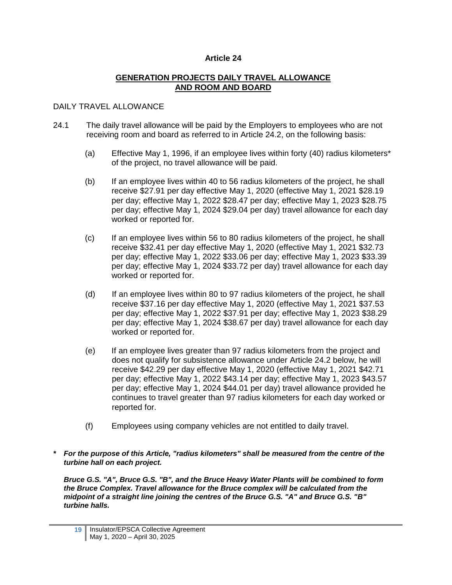#### **GENERATION PROJECTS DAILY TRAVEL ALLOWANCE AND ROOM AND BOARD**

#### <span id="page-22-0"></span>DAILY TRAVEL ALLOWANCE

- 24.1 The daily travel allowance will be paid by the Employers to employees who are not receiving room and board as referred to in Article 24.2, on the following basis:
	- (a) Effective May 1, 1996, if an employee lives within forty (40) radius kilometers\* of the project, no travel allowance will be paid.
	- (b) If an employee lives within 40 to 56 radius kilometers of the project, he shall receive \$27.91 per day effective May 1, 2020 (effective May 1, 2021 \$28.19 per day; effective May 1, 2022 \$28.47 per day; effective May 1, 2023 \$28.75 per day; effective May 1, 2024 \$29.04 per day) travel allowance for each day worked or reported for.
	- (c) If an employee lives within 56 to 80 radius kilometers of the project, he shall receive \$32.41 per day effective May 1, 2020 (effective May 1, 2021 \$32.73 per day; effective May 1, 2022 \$33.06 per day; effective May 1, 2023 \$33.39 per day; effective May 1, 2024 \$33.72 per day) travel allowance for each day worked or reported for.
	- (d) If an employee lives within 80 to 97 radius kilometers of the project, he shall receive \$37.16 per day effective May 1, 2020 (effective May 1, 2021 \$37.53 per day; effective May 1, 2022 \$37.91 per day; effective May 1, 2023 \$38.29 per day; effective May 1, 2024 \$38.67 per day) travel allowance for each day worked or reported for.
	- (e) If an employee lives greater than 97 radius kilometers from the project and does not qualify for subsistence allowance under Article 24.2 below, he will receive \$42.29 per day effective May 1, 2020 (effective May 1, 2021 \$42.71 per day; effective May 1, 2022 \$43.14 per day; effective May 1, 2023 \$43.57 per day; effective May 1, 2024 \$44.01 per day) travel allowance provided he continues to travel greater than 97 radius kilometers for each day worked or reported for.
	- (f) Employees using company vehicles are not entitled to daily travel.

*\* For the purpose of this Article, "radius kilometers" shall be measured from the centre of the turbine hall on each project.*

*Bruce G.S. "A", Bruce G.S. "B", and the Bruce Heavy Water Plants will be combined to form the Bruce Complex. Travel allowance for the Bruce complex will be calculated from the midpoint of a straight line joining the centres of the Bruce G.S. "A" and Bruce G.S. "B" turbine halls.*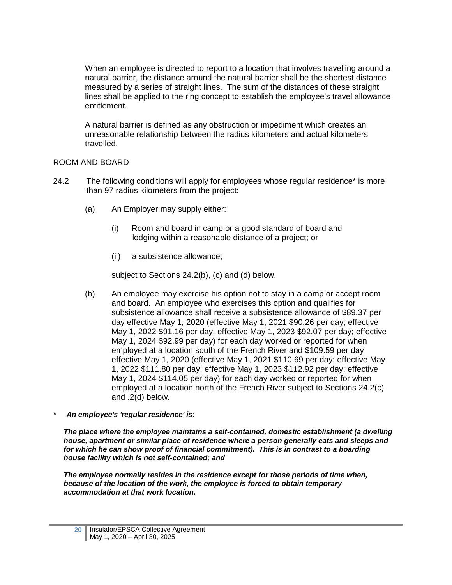When an employee is directed to report to a location that involves travelling around a natural barrier, the distance around the natural barrier shall be the shortest distance measured by a series of straight lines. The sum of the distances of these straight lines shall be applied to the ring concept to establish the employee's travel allowance entitlement.

A natural barrier is defined as any obstruction or impediment which creates an unreasonable relationship between the radius kilometers and actual kilometers travelled.

#### ROOM AND BOARD

- 24.2 The following conditions will apply for employees whose regular residence\* is more than 97 radius kilometers from the project:
	- (a) An Employer may supply either:
		- (i) Room and board in camp or a good standard of board and lodging within a reasonable distance of a project; or
		- (ii) a subsistence allowance;

subject to Sections 24.2(b), (c) and (d) below.

- (b) An employee may exercise his option not to stay in a camp or accept room and board. An employee who exercises this option and qualifies for subsistence allowance shall receive a subsistence allowance of \$89.37 per day effective May 1, 2020 (effective May 1, 2021 \$90.26 per day; effective May 1, 2022 \$91.16 per day; effective May 1, 2023 \$92.07 per day; effective May 1, 2024 \$92.99 per day) for each day worked or reported for when employed at a location south of the French River and \$109.59 per day effective May 1, 2020 (effective May 1, 2021 \$110.69 per day; effective May 1, 2022 \$111.80 per day; effective May 1, 2023 \$112.92 per day; effective May 1, 2024 \$114.05 per day) for each day worked or reported for when employed at a location north of the French River subject to Sections 24.2(c) and .2(d) below.
- *\* An employee's 'regular residence' is:*

*The place where the employee maintains a self-contained, domestic establishment (a dwelling house, apartment or similar place of residence where a person generally eats and sleeps and for which he can show proof of financial commitment). This is in contrast to a boarding house facility which is not self-contained; and*

*The employee normally resides in the residence except for those periods of time when, because of the location of the work, the employee is forced to obtain temporary accommodation at that work location.*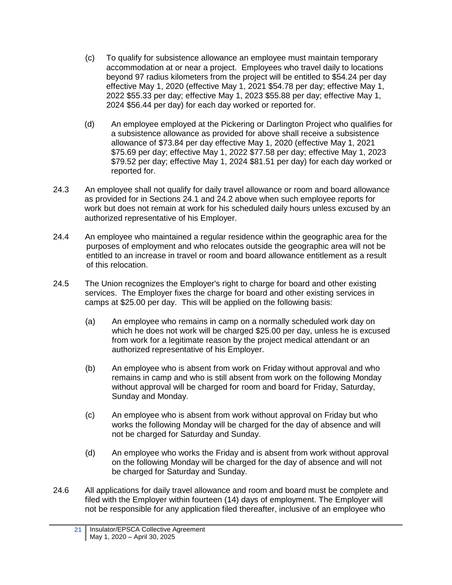- (c) To qualify for subsistence allowance an employee must maintain temporary accommodation at or near a project. Employees who travel daily to locations beyond 97 radius kilometers from the project will be entitled to \$54.24 per day effective May 1, 2020 (effective May 1, 2021 \$54.78 per day; effective May 1, 2022 \$55.33 per day; effective May 1, 2023 \$55.88 per day; effective May 1, 2024 \$56.44 per day) for each day worked or reported for.
- (d) An employee employed at the Pickering or Darlington Project who qualifies for a subsistence allowance as provided for above shall receive a subsistence allowance of \$73.84 per day effective May 1, 2020 (effective May 1, 2021 \$75.69 per day; effective May 1, 2022 \$77.58 per day; effective May 1, 2023 \$79.52 per day; effective May 1, 2024 \$81.51 per day) for each day worked or reported for.
- 24.3 An employee shall not qualify for daily travel allowance or room and board allowance as provided for in Sections 24.1 and 24.2 above when such employee reports for work but does not remain at work for his scheduled daily hours unless excused by an authorized representative of his Employer.
- 24.4 An employee who maintained a regular residence within the geographic area for the purposes of employment and who relocates outside the geographic area will not be entitled to an increase in travel or room and board allowance entitlement as a result of this relocation.
- 24.5 The Union recognizes the Employer's right to charge for board and other existing services. The Employer fixes the charge for board and other existing services in camps at \$25.00 per day. This will be applied on the following basis:
	- (a) An employee who remains in camp on a normally scheduled work day on which he does not work will be charged \$25.00 per day, unless he is excused from work for a legitimate reason by the project medical attendant or an authorized representative of his Employer.
	- (b) An employee who is absent from work on Friday without approval and who remains in camp and who is still absent from work on the following Monday without approval will be charged for room and board for Friday, Saturday, Sunday and Monday.
	- (c) An employee who is absent from work without approval on Friday but who works the following Monday will be charged for the day of absence and will not be charged for Saturday and Sunday.
	- (d) An employee who works the Friday and is absent from work without approval on the following Monday will be charged for the day of absence and will not be charged for Saturday and Sunday.
- 24.6 All applications for daily travel allowance and room and board must be complete and filed with the Employer within fourteen (14) days of employment. The Employer will not be responsible for any application filed thereafter, inclusive of an employee who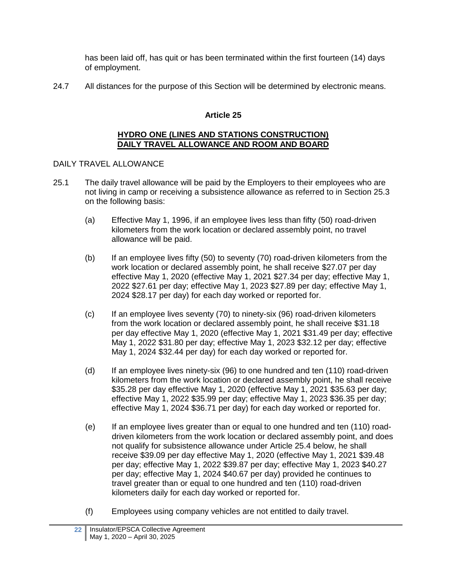has been laid off, has quit or has been terminated within the first fourteen (14) days of employment.

<span id="page-25-0"></span>24.7 All distances for the purpose of this Section will be determined by electronic means.

# **Article 25**

#### **HYDRO ONE (LINES AND STATIONS CONSTRUCTION) DAILY TRAVEL ALLOWANCE AND ROOM AND BOARD**

# DAILY TRAVEL ALLOWANCE

- 25.1 The daily travel allowance will be paid by the Employers to their employees who are not living in camp or receiving a subsistence allowance as referred to in Section 25.3 on the following basis:
	- (a) Effective May 1, 1996, if an employee lives less than fifty (50) road-driven kilometers from the work location or declared assembly point, no travel allowance will be paid.
	- (b) If an employee lives fifty (50) to seventy (70) road-driven kilometers from the work location or declared assembly point, he shall receive \$27.07 per day effective May 1, 2020 (effective May 1, 2021 \$27.34 per day; effective May 1, 2022 \$27.61 per day; effective May 1, 2023 \$27.89 per day; effective May 1, 2024 \$28.17 per day) for each day worked or reported for.
	- (c) If an employee lives seventy (70) to ninety-six (96) road-driven kilometers from the work location or declared assembly point, he shall receive \$31.18 per day effective May 1, 2020 (effective May 1, 2021 \$31.49 per day; effective May 1, 2022 \$31.80 per day; effective May 1, 2023 \$32.12 per day; effective May 1, 2024 \$32.44 per day) for each day worked or reported for.
	- (d) If an employee lives ninety-six (96) to one hundred and ten (110) road-driven kilometers from the work location or declared assembly point, he shall receive \$35.28 per day effective May 1, 2020 (effective May 1, 2021 \$35.63 per day; effective May 1, 2022 \$35.99 per day; effective May 1, 2023 \$36.35 per day; effective May 1, 2024 \$36.71 per day) for each day worked or reported for.
	- (e) If an employee lives greater than or equal to one hundred and ten (110) roaddriven kilometers from the work location or declared assembly point, and does not qualify for subsistence allowance under Article 25.4 below, he shall receive \$39.09 per day effective May 1, 2020 (effective May 1, 2021 \$39.48 per day; effective May 1, 2022 \$39.87 per day; effective May 1, 2023 \$40.27 per day; effective May 1, 2024 \$40.67 per day) provided he continues to travel greater than or equal to one hundred and ten (110) road-driven kilometers daily for each day worked or reported for.
	- (f) Employees using company vehicles are not entitled to daily travel.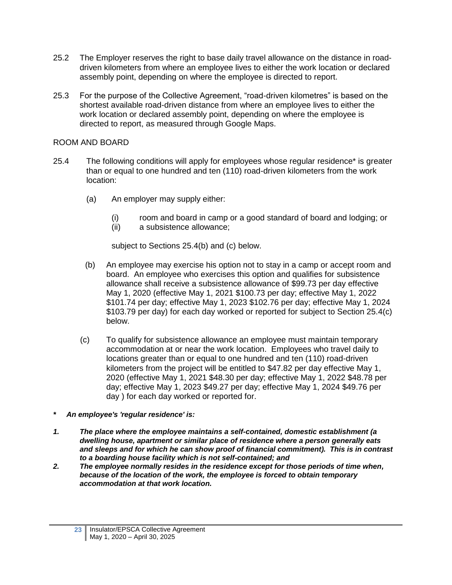- 25.2 The Employer reserves the right to base daily travel allowance on the distance in roaddriven kilometers from where an employee lives to either the work location or declared assembly point, depending on where the employee is directed to report.
- 25.3 For the purpose of the Collective Agreement, "road-driven kilometres" is based on the shortest available road-driven distance from where an employee lives to either the work location or declared assembly point, depending on where the employee is directed to report, as measured through Google Maps.

#### ROOM AND BOARD

- 25.4 The following conditions will apply for employees whose regular residence\* is greater than or equal to one hundred and ten (110) road-driven kilometers from the work location:
	- (a) An employer may supply either:
		- (i) room and board in camp or a good standard of board and lodging; or
		- (ii) a subsistence allowance;

subject to Sections 25.4(b) and (c) below.

- (b) An employee may exercise his option not to stay in a camp or accept room and board. An employee who exercises this option and qualifies for subsistence allowance shall receive a subsistence allowance of \$99.73 per day effective May 1, 2020 (effective May 1, 2021 \$100.73 per day; effective May 1, 2022 \$101.74 per day; effective May 1, 2023 \$102.76 per day; effective May 1, 2024 \$103.79 per day) for each day worked or reported for subject to Section 25.4(c) below.
- (c) To qualify for subsistence allowance an employee must maintain temporary accommodation at or near the work location. Employees who travel daily to locations greater than or equal to one hundred and ten (110) road-driven kilometers from the project will be entitled to \$47.82 per day effective May 1, 2020 (effective May 1, 2021 \$48.30 per day; effective May 1, 2022 \$48.78 per day; effective May 1, 2023 \$49.27 per day; effective May 1, 2024 \$49.76 per day ) for each day worked or reported for.
- *\* An employee's 'regular residence' is:*
- *1. The place where the employee maintains a self-contained, domestic establishment (a dwelling house, apartment or similar place of residence where a person generally eats and sleeps and for which he can show proof of financial commitment). This is in contrast to a boarding house facility which is not self-contained; and*
- *2. The employee normally resides in the residence except for those periods of time when, because of the location of the work, the employee is forced to obtain temporary accommodation at that work location.*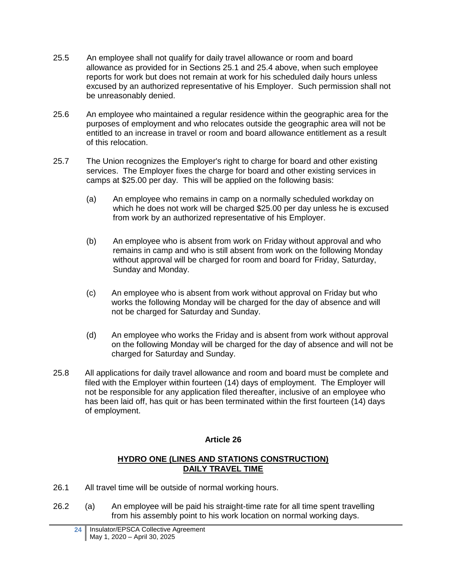- 25.5 An employee shall not qualify for daily travel allowance or room and board allowance as provided for in Sections 25.1 and 25.4 above, when such employee reports for work but does not remain at work for his scheduled daily hours unless excused by an authorized representative of his Employer. Such permission shall not be unreasonably denied.
- 25.6 An employee who maintained a regular residence within the geographic area for the purposes of employment and who relocates outside the geographic area will not be entitled to an increase in travel or room and board allowance entitlement as a result of this relocation.
- 25.7 The Union recognizes the Employer's right to charge for board and other existing services. The Employer fixes the charge for board and other existing services in camps at \$25.00 per day. This will be applied on the following basis:
	- (a) An employee who remains in camp on a normally scheduled workday on which he does not work will be charged \$25.00 per day unless he is excused from work by an authorized representative of his Employer.
	- (b) An employee who is absent from work on Friday without approval and who remains in camp and who is still absent from work on the following Monday without approval will be charged for room and board for Friday, Saturday, Sunday and Monday.
	- (c) An employee who is absent from work without approval on Friday but who works the following Monday will be charged for the day of absence and will not be charged for Saturday and Sunday.
	- (d) An employee who works the Friday and is absent from work without approval on the following Monday will be charged for the day of absence and will not be charged for Saturday and Sunday.
- 25.8 All applications for daily travel allowance and room and board must be complete and filed with the Employer within fourteen (14) days of employment. The Employer will not be responsible for any application filed thereafter, inclusive of an employee who has been laid off, has quit or has been terminated within the first fourteen (14) days of employment.

#### **HYDRO ONE (LINES AND STATIONS CONSTRUCTION) DAILY TRAVEL TIME**

- <span id="page-27-0"></span>26.1 All travel time will be outside of normal working hours.
- 26.2 (a) An employee will be paid his straight-time rate for all time spent travelling from his assembly point to his work location on normal working days.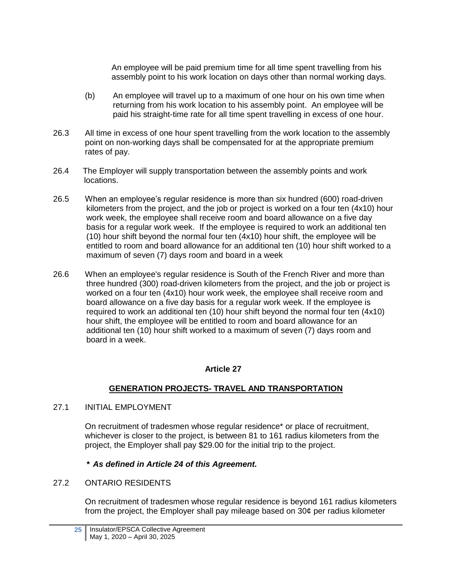An employee will be paid premium time for all time spent travelling from his assembly point to his work location on days other than normal working days.

- (b) An employee will travel up to a maximum of one hour on his own time when returning from his work location to his assembly point. An employee will be paid his straight-time rate for all time spent travelling in excess of one hour.
- 26.3 All time in excess of one hour spent travelling from the work location to the assembly point on non-working days shall be compensated for at the appropriate premium rates of pay.
- 26.4 The Employer will supply transportation between the assembly points and work locations.
- 26.5 When an employee's regular residence is more than six hundred (600) road-driven kilometers from the project, and the job or project is worked on a four ten (4x10) hour work week, the employee shall receive room and board allowance on a five day basis for a regular work week. If the employee is required to work an additional ten (10) hour shift beyond the normal four ten (4x10) hour shift, the employee will be entitled to room and board allowance for an additional ten (10) hour shift worked to a maximum of seven (7) days room and board in a week
- 26.6 When an employee's regular residence is South of the French River and more than three hundred (300) road-driven kilometers from the project, and the job or project is worked on a four ten (4x10) hour work week, the employee shall receive room and board allowance on a five day basis for a regular work week. If the employee is required to work an additional ten (10) hour shift beyond the normal four ten (4x10) hour shift, the employee will be entitled to room and board allowance for an additional ten (10) hour shift worked to a maximum of seven (7) days room and board in a week.

### **Article 27**

### **GENERATION PROJECTS- TRAVEL AND TRANSPORTATION**

<span id="page-28-0"></span>27.1 INITIAL EMPLOYMENT

On recruitment of tradesmen whose regular residence\* or place of recruitment, whichever is closer to the project, is between 81 to 161 radius kilometers from the project, the Employer shall pay \$29.00 for the initial trip to the project.

### *\* As defined in Article 24 of this Agreement.*

### 27.2 ONTARIO RESIDENTS

On recruitment of tradesmen whose regular residence is beyond 161 radius kilometers from the project, the Employer shall pay mileage based on 30¢ per radius kilometer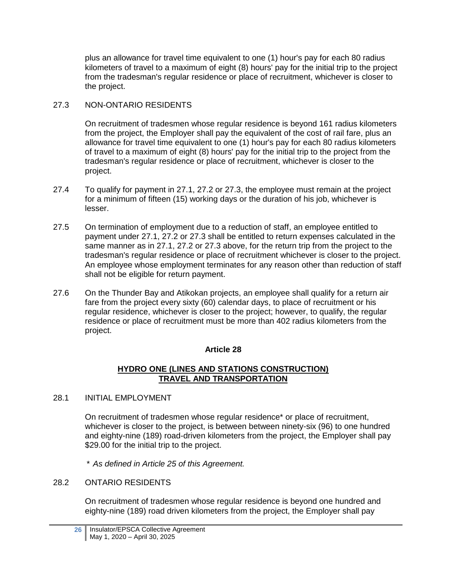plus an allowance for travel time equivalent to one (1) hour's pay for each 80 radius kilometers of travel to a maximum of eight (8) hours' pay for the initial trip to the project from the tradesman's regular residence or place of recruitment, whichever is closer to the project.

# 27.3 NON-ONTARIO RESIDENTS

On recruitment of tradesmen whose regular residence is beyond 161 radius kilometers from the project, the Employer shall pay the equivalent of the cost of rail fare, plus an allowance for travel time equivalent to one (1) hour's pay for each 80 radius kilometers of travel to a maximum of eight (8) hours' pay for the initial trip to the project from the tradesman's regular residence or place of recruitment, whichever is closer to the project.

- 27.4 To qualify for payment in 27.1, 27.2 or 27.3, the employee must remain at the project for a minimum of fifteen (15) working days or the duration of his job, whichever is lesser.
- 27.5 On termination of employment due to a reduction of staff, an employee entitled to payment under 27.1, 27.2 or 27.3 shall be entitled to return expenses calculated in the same manner as in 27.1, 27.2 or 27.3 above, for the return trip from the project to the tradesman's regular residence or place of recruitment whichever is closer to the project. An employee whose employment terminates for any reason other than reduction of staff shall not be eligible for return payment.
- 27.6 On the Thunder Bay and Atikokan projects, an employee shall qualify for a return air fare from the project every sixty (60) calendar days, to place of recruitment or his regular residence, whichever is closer to the project; however, to qualify, the regular residence or place of recruitment must be more than 402 radius kilometers from the project.

### **Article 28**

### **HYDRO ONE (LINES AND STATIONS CONSTRUCTION) TRAVEL AND TRANSPORTATION**

### <span id="page-29-0"></span>28.1 INITIAL EMPLOYMENT

On recruitment of tradesmen whose regular residence\* or place of recruitment, whichever is closer to the project, is between between ninety-six (96) to one hundred and eighty-nine (189) road-driven kilometers from the project, the Employer shall pay \$29.00 for the initial trip to the project.

*\* As defined in Article 25 of this Agreement.*

### 28.2 ONTARIO RESIDENTS

On recruitment of tradesmen whose regular residence is beyond one hundred and eighty-nine (189) road driven kilometers from the project, the Employer shall pay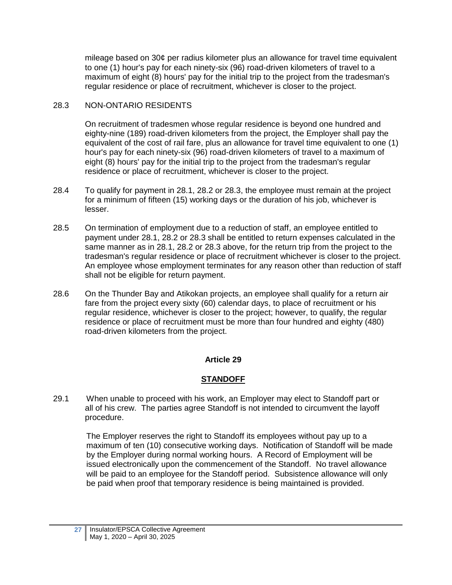mileage based on 30¢ per radius kilometer plus an allowance for travel time equivalent to one (1) hour's pay for each ninety-six (96) road-driven kilometers of travel to a maximum of eight (8) hours' pay for the initial trip to the project from the tradesman's regular residence or place of recruitment, whichever is closer to the project.

## 28.3 NON-ONTARIO RESIDENTS

On recruitment of tradesmen whose regular residence is beyond one hundred and eighty-nine (189) road-driven kilometers from the project, the Employer shall pay the equivalent of the cost of rail fare, plus an allowance for travel time equivalent to one (1) hour's pay for each ninety-six (96) road-driven kilometers of travel to a maximum of eight (8) hours' pay for the initial trip to the project from the tradesman's regular residence or place of recruitment, whichever is closer to the project.

- 28.4 To qualify for payment in 28.1, 28.2 or 28.3, the employee must remain at the project for a minimum of fifteen (15) working days or the duration of his job, whichever is lesser.
- 28.5 On termination of employment due to a reduction of staff, an employee entitled to payment under 28.1, 28.2 or 28.3 shall be entitled to return expenses calculated in the same manner as in 28.1, 28.2 or 28.3 above, for the return trip from the project to the tradesman's regular residence or place of recruitment whichever is closer to the project. An employee whose employment terminates for any reason other than reduction of staff shall not be eligible for return payment.
- 28.6 On the Thunder Bay and Atikokan projects, an employee shall qualify for a return air fare from the project every sixty (60) calendar days, to place of recruitment or his regular residence, whichever is closer to the project; however, to qualify, the regular residence or place of recruitment must be more than four hundred and eighty (480) road-driven kilometers from the project.

# **Article 29**

# **STANDOFF**

<span id="page-30-0"></span>29.1 When unable to proceed with his work, an Employer may elect to Standoff part or all of his crew. The parties agree Standoff is not intended to circumvent the layoff procedure.

The Employer reserves the right to Standoff its employees without pay up to a maximum of ten (10) consecutive working days. Notification of Standoff will be made by the Employer during normal working hours. A Record of Employment will be issued electronically upon the commencement of the Standoff. No travel allowance will be paid to an employee for the Standoff period. Subsistence allowance will only be paid when proof that temporary residence is being maintained is provided.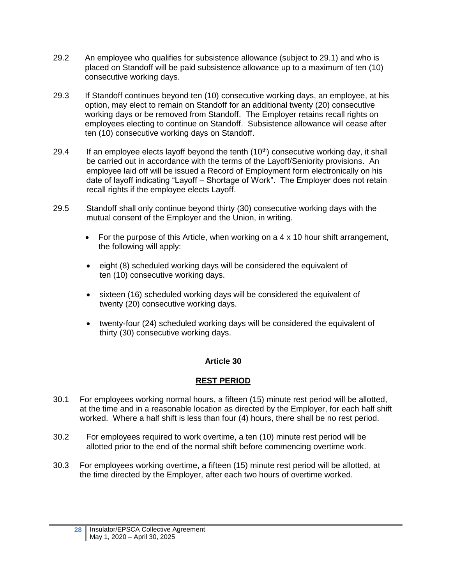- 29.2 An employee who qualifies for subsistence allowance (subject to 29.1) and who is placed on Standoff will be paid subsistence allowance up to a maximum of ten (10) consecutive working days.
- 29.3 If Standoff continues beyond ten (10) consecutive working days, an employee, at his option, may elect to remain on Standoff for an additional twenty (20) consecutive working days or be removed from Standoff. The Employer retains recall rights on employees electing to continue on Standoff. Subsistence allowance will cease after ten (10) consecutive working days on Standoff.
- 29.4 If an employee elects layoff beyond the tenth  $(10<sup>th</sup>)$  consecutive working day, it shall be carried out in accordance with the terms of the Layoff/Seniority provisions. An employee laid off will be issued a Record of Employment form electronically on his date of layoff indicating "Layoff – Shortage of Work". The Employer does not retain recall rights if the employee elects Layoff.
- 29.5 Standoff shall only continue beyond thirty (30) consecutive working days with the mutual consent of the Employer and the Union, in writing.
	- For the purpose of this Article, when working on a  $4 \times 10$  hour shift arrangement, the following will apply:
	- eight (8) scheduled working days will be considered the equivalent of ten (10) consecutive working days.
	- sixteen (16) scheduled working days will be considered the equivalent of twenty (20) consecutive working days.
	- twenty-four (24) scheduled working days will be considered the equivalent of thirty (30) consecutive working days.

### **REST PERIOD**

- <span id="page-31-0"></span>30.1 For employees working normal hours, a fifteen (15) minute rest period will be allotted, at the time and in a reasonable location as directed by the Employer, for each half shift worked. Where a half shift is less than four (4) hours, there shall be no rest period.
- 30.2 For employees required to work overtime, a ten (10) minute rest period will be allotted prior to the end of the normal shift before commencing overtime work.
- 30.3 For employees working overtime, a fifteen (15) minute rest period will be allotted, at the time directed by the Employer, after each two hours of overtime worked.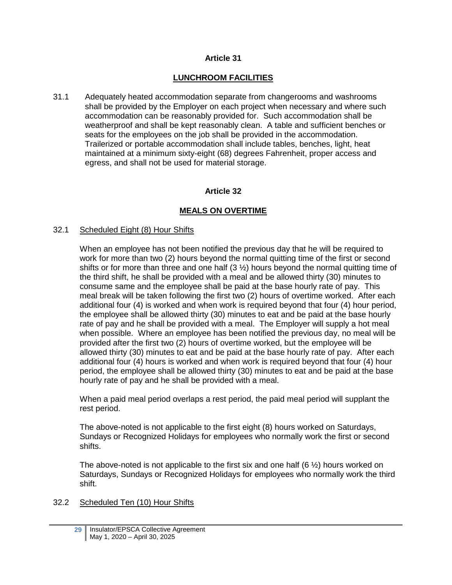### **LUNCHROOM FACILITIES**

<span id="page-32-0"></span>31.1 Adequately heated accommodation separate from changerooms and washrooms shall be provided by the Employer on each project when necessary and where such accommodation can be reasonably provided for. Such accommodation shall be weatherproof and shall be kept reasonably clean. A table and sufficient benches or seats for the employees on the job shall be provided in the accommodation. Trailerized or portable accommodation shall include tables, benches, light, heat maintained at a minimum sixty-eight (68) degrees Fahrenheit, proper access and egress, and shall not be used for material storage.

#### **Article 32**

#### **MEALS ON OVERTIME**

#### <span id="page-32-1"></span>32.1 Scheduled Eight (8) Hour Shifts

When an employee has not been notified the previous day that he will be required to work for more than two (2) hours beyond the normal quitting time of the first or second shifts or for more than three and one half  $(3 \frac{1}{2})$  hours beyond the normal quitting time of the third shift, he shall be provided with a meal and be allowed thirty (30) minutes to consume same and the employee shall be paid at the base hourly rate of pay. This meal break will be taken following the first two (2) hours of overtime worked. After each additional four (4) is worked and when work is required beyond that four (4) hour period, the employee shall be allowed thirty (30) minutes to eat and be paid at the base hourly rate of pay and he shall be provided with a meal. The Employer will supply a hot meal when possible. Where an employee has been notified the previous day, no meal will be provided after the first two (2) hours of overtime worked, but the employee will be allowed thirty (30) minutes to eat and be paid at the base hourly rate of pay. After each additional four (4) hours is worked and when work is required beyond that four (4) hour period, the employee shall be allowed thirty (30) minutes to eat and be paid at the base hourly rate of pay and he shall be provided with a meal.

When a paid meal period overlaps a rest period, the paid meal period will supplant the rest period.

The above-noted is not applicable to the first eight (8) hours worked on Saturdays, Sundays or Recognized Holidays for employees who normally work the first or second shifts.

The above-noted is not applicable to the first six and one half  $(6 \frac{1}{2})$  hours worked on Saturdays, Sundays or Recognized Holidays for employees who normally work the third shift.

#### 32.2 Scheduled Ten (10) Hour Shifts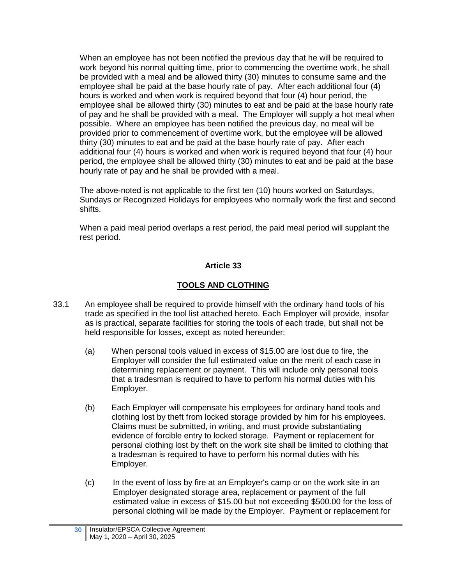When an employee has not been notified the previous day that he will be required to work beyond his normal quitting time, prior to commencing the overtime work, he shall be provided with a meal and be allowed thirty (30) minutes to consume same and the employee shall be paid at the base hourly rate of pay. After each additional four (4) hours is worked and when work is required beyond that four (4) hour period, the employee shall be allowed thirty (30) minutes to eat and be paid at the base hourly rate of pay and he shall be provided with a meal. The Employer will supply a hot meal when possible. Where an employee has been notified the previous day, no meal will be provided prior to commencement of overtime work, but the employee will be allowed thirty (30) minutes to eat and be paid at the base hourly rate of pay. After each additional four (4) hours is worked and when work is required beyond that four (4) hour period, the employee shall be allowed thirty (30) minutes to eat and be paid at the base hourly rate of pay and he shall be provided with a meal.

The above-noted is not applicable to the first ten (10) hours worked on Saturdays, Sundays or Recognized Holidays for employees who normally work the first and second shifts.

<span id="page-33-0"></span>When a paid meal period overlaps a rest period, the paid meal period will supplant the rest period.

## **Article 33**

## **TOOLS AND CLOTHING**

- 33.1 An employee shall be required to provide himself with the ordinary hand tools of his trade as specified in the tool list attached hereto. Each Employer will provide, insofar as is practical, separate facilities for storing the tools of each trade, but shall not be held responsible for losses, except as noted hereunder:
	- (a) When personal tools valued in excess of \$15.00 are lost due to fire, the Employer will consider the full estimated value on the merit of each case in determining replacement or payment. This will include only personal tools that a tradesman is required to have to perform his normal duties with his Employer.
	- (b) Each Employer will compensate his employees for ordinary hand tools and clothing lost by theft from locked storage provided by him for his employees. Claims must be submitted, in writing, and must provide substantiating evidence of forcible entry to locked storage. Payment or replacement for personal clothing lost by theft on the work site shall be limited to clothing that a tradesman is required to have to perform his normal duties with his Employer.
	- (c) In the event of loss by fire at an Employer's camp or on the work site in an Employer designated storage area, replacement or payment of the full estimated value in excess of \$15.00 but not exceeding \$500.00 for the loss of personal clothing will be made by the Employer. Payment or replacement for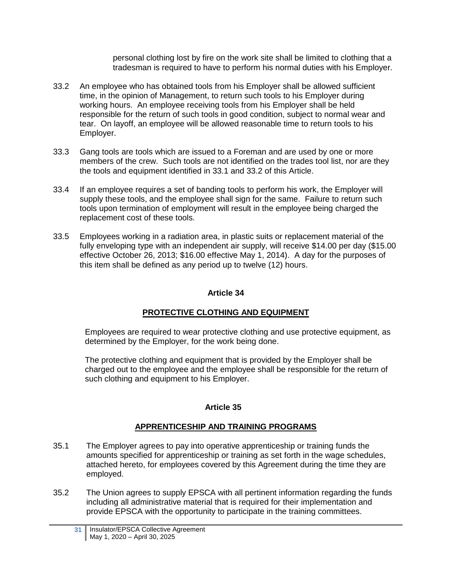personal clothing lost by fire on the work site shall be limited to clothing that a tradesman is required to have to perform his normal duties with his Employer.

- 33.2 An employee who has obtained tools from his Employer shall be allowed sufficient time, in the opinion of Management, to return such tools to his Employer during working hours. An employee receiving tools from his Employer shall be held responsible for the return of such tools in good condition, subject to normal wear and tear. On layoff, an employee will be allowed reasonable time to return tools to his Employer.
- 33.3 Gang tools are tools which are issued to a Foreman and are used by one or more members of the crew. Such tools are not identified on the trades tool list, nor are they the tools and equipment identified in 33.1 and 33.2 of this Article.
- 33.4 If an employee requires a set of banding tools to perform his work, the Employer will supply these tools, and the employee shall sign for the same. Failure to return such tools upon termination of employment will result in the employee being charged the replacement cost of these tools.
- 33.5 Employees working in a radiation area, in plastic suits or replacement material of the fully enveloping type with an independent air supply, will receive \$14.00 per day (\$15.00 effective October 26, 2013; \$16.00 effective May 1, 2014). A day for the purposes of this item shall be defined as any period up to twelve (12) hours.

## **Article 34**

# **PROTECTIVE CLOTHING AND EQUIPMENT**

<span id="page-34-0"></span>Employees are required to wear protective clothing and use protective equipment, as determined by the Employer, for the work being done.

The protective clothing and equipment that is provided by the Employer shall be charged out to the employee and the employee shall be responsible for the return of such clothing and equipment to his Employer.

### **Article 35**

### **APPRENTICESHIP AND TRAINING PROGRAMS**

- <span id="page-34-1"></span>35.1 The Employer agrees to pay into operative apprenticeship or training funds the amounts specified for apprenticeship or training as set forth in the wage schedules, attached hereto, for employees covered by this Agreement during the time they are employed.
- 35.2 The Union agrees to supply EPSCA with all pertinent information regarding the funds including all administrative material that is required for their implementation and provide EPSCA with the opportunity to participate in the training committees.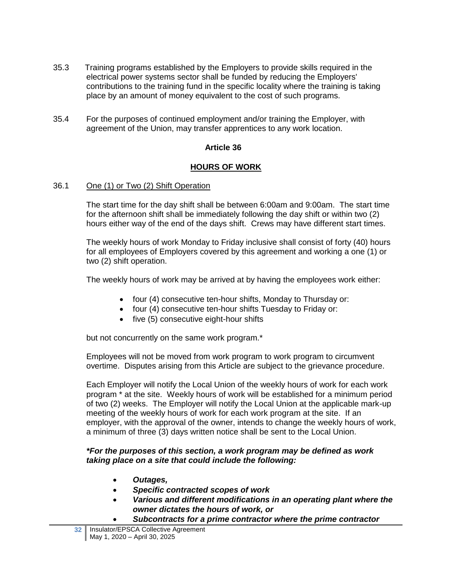- 35.3 Training programs established by the Employers to provide skills required in the electrical power systems sector shall be funded by reducing the Employers' contributions to the training fund in the specific locality where the training is taking place by an amount of money equivalent to the cost of such programs.
- <span id="page-35-0"></span>35.4 For the purposes of continued employment and/or training the Employer, with agreement of the Union, may transfer apprentices to any work location.

## **HOURS OF WORK**

#### 36.1 One (1) or Two (2) Shift Operation

The start time for the day shift shall be between 6:00am and 9:00am. The start time for the afternoon shift shall be immediately following the day shift or within two (2) hours either way of the end of the days shift. Crews may have different start times.

The weekly hours of work Monday to Friday inclusive shall consist of forty (40) hours for all employees of Employers covered by this agreement and working a one (1) or two (2) shift operation.

The weekly hours of work may be arrived at by having the employees work either:

- four (4) consecutive ten-hour shifts, Monday to Thursday or:
- four (4) consecutive ten-hour shifts Tuesday to Friday or:
- $\bullet$  five (5) consecutive eight-hour shifts

but not concurrently on the same work program.\*

Employees will not be moved from work program to work program to circumvent overtime. Disputes arising from this Article are subject to the grievance procedure.

Each Employer will notify the Local Union of the weekly hours of work for each work program \* at the site. Weekly hours of work will be established for a minimum period of two (2) weeks. The Employer will notify the Local Union at the applicable mark-up meeting of the weekly hours of work for each work program at the site. If an employer, with the approval of the owner, intends to change the weekly hours of work, a minimum of three (3) days written notice shall be sent to the Local Union.

#### *\*For the purposes of this section, a work program may be defined as work taking place on a site that could include the following:*

- *Outages,*
- *Specific contracted scopes of work*
- *Various and different modifications in an operating plant where the owner dictates the hours of work, or*
- *Subcontracts for a prime contractor where the prime contractor*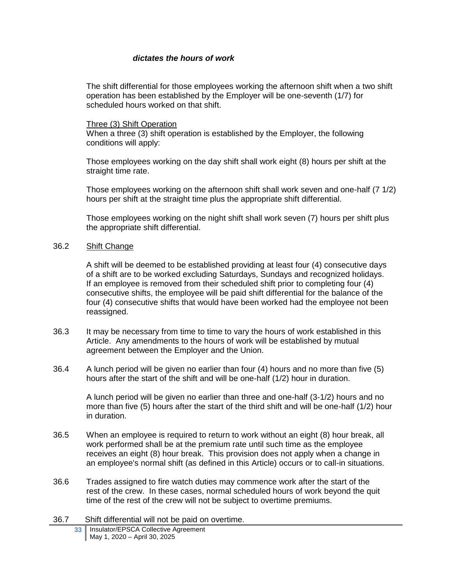#### *dictates the hours of work*

The shift differential for those employees working the afternoon shift when a two shift operation has been established by the Employer will be one-seventh (1/7) for scheduled hours worked on that shift.

#### Three (3) Shift Operation

When a three (3) shift operation is established by the Employer, the following conditions will apply:

Those employees working on the day shift shall work eight (8) hours per shift at the straight time rate.

Those employees working on the afternoon shift shall work seven and one-half (7 1/2) hours per shift at the straight time plus the appropriate shift differential.

Those employees working on the night shift shall work seven (7) hours per shift plus the appropriate shift differential.

#### 36.2 Shift Change

A shift will be deemed to be established providing at least four (4) consecutive days of a shift are to be worked excluding Saturdays, Sundays and recognized holidays. If an employee is removed from their scheduled shift prior to completing four (4) consecutive shifts, the employee will be paid shift differential for the balance of the four (4) consecutive shifts that would have been worked had the employee not been reassigned.

- 36.3 It may be necessary from time to time to vary the hours of work established in this Article. Any amendments to the hours of work will be established by mutual agreement between the Employer and the Union.
- 36.4 A lunch period will be given no earlier than four (4) hours and no more than five (5) hours after the start of the shift and will be one-half (1/2) hour in duration.

A lunch period will be given no earlier than three and one-half (3-1/2) hours and no more than five (5) hours after the start of the third shift and will be one-half (1/2) hour in duration.

- 36.5 When an employee is required to return to work without an eight (8) hour break, all work performed shall be at the premium rate until such time as the employee receives an eight (8) hour break. This provision does not apply when a change in an employee's normal shift (as defined in this Article) occurs or to call-in situations.
- 36.6 Trades assigned to fire watch duties may commence work after the start of the rest of the crew. In these cases, normal scheduled hours of work beyond the quit time of the rest of the crew will not be subject to overtime premiums.
- 36.7 Shift differential will not be paid on overtime.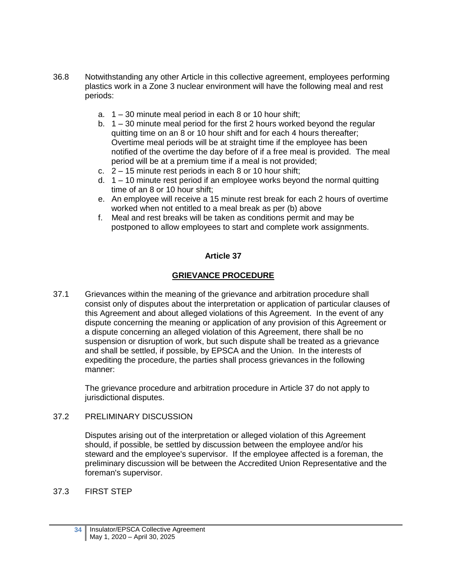- 36.8 Notwithstanding any other Article in this collective agreement, employees performing plastics work in a Zone 3 nuclear environment will have the following meal and rest periods:
	- a. 1 30 minute meal period in each 8 or 10 hour shift;
	- b. 1 30 minute meal period for the first 2 hours worked beyond the regular quitting time on an 8 or 10 hour shift and for each 4 hours thereafter; Overtime meal periods will be at straight time if the employee has been notified of the overtime the day before of if a free meal is provided. The meal period will be at a premium time if a meal is not provided;
	- c. 2 15 minute rest periods in each 8 or 10 hour shift;
	- d. 1 10 minute rest period if an employee works beyond the normal quitting time of an 8 or 10 hour shift;
	- e. An employee will receive a 15 minute rest break for each 2 hours of overtime worked when not entitled to a meal break as per (b) above
	- f. Meal and rest breaks will be taken as conditions permit and may be postponed to allow employees to start and complete work assignments.

#### **GRIEVANCE PROCEDURE**

<span id="page-37-0"></span>37.1 Grievances within the meaning of the grievance and arbitration procedure shall consist only of disputes about the interpretation or application of particular clauses of this Agreement and about alleged violations of this Agreement. In the event of any dispute concerning the meaning or application of any provision of this Agreement or a dispute concerning an alleged violation of this Agreement, there shall be no suspension or disruption of work, but such dispute shall be treated as a grievance and shall be settled, if possible, by EPSCA and the Union. In the interests of expediting the procedure, the parties shall process grievances in the following manner:

The grievance procedure and arbitration procedure in Article 37 do not apply to jurisdictional disputes.

#### 37.2 PRELIMINARY DISCUSSION

Disputes arising out of the interpretation or alleged violation of this Agreement should, if possible, be settled by discussion between the employee and/or his steward and the employee's supervisor. If the employee affected is a foreman, the preliminary discussion will be between the Accredited Union Representative and the foreman's supervisor.

#### 37.3 FIRST STEP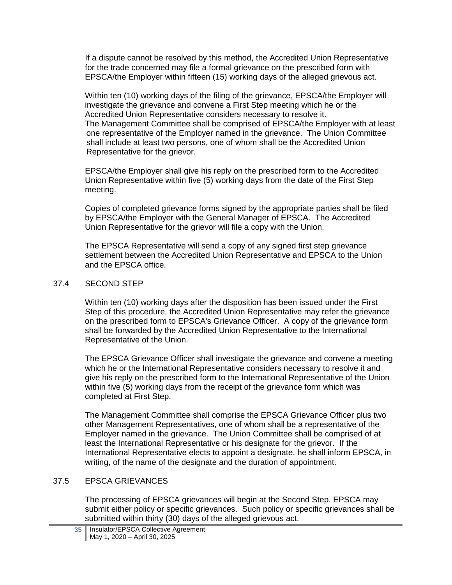If a dispute cannot be resolved by this method, the Accredited Union Representative for the trade concerned may file a formal grievance on the prescribed form with EPSCA/the Employer within fifteen (15) working days of the alleged grievous act.

Within ten (10) working days of the filing of the grievance, EPSCA/the Employer will investigate the grievance and convene a First Step meeting which he or the Accredited Union Representative considers necessary to resolve it. The Management Committee shall be comprised of EPSCA/the Employer with at least one representative of the Employer named in the grievance. The Union Committee shall include at least two persons, one of whom shall be the Accredited Union Representative for the grievor.

EPSCA/the Employer shall give his reply on the prescribed form to the Accredited Union Representative within five (5) working days from the date of the First Step meeting.

Copies of completed grievance forms signed by the appropriate parties shall be filed by EPSCA/the Employer with the General Manager of EPSCA. The Accredited Union Representative for the grievor will file a copy with the Union.

The EPSCA Representative will send a copy of any signed first step grievance settlement between the Accredited Union Representative and EPSCA to the Union and the EPSCA office.

#### 37.4 SECOND STEP

Within ten (10) working days after the disposition has been issued under the First Step of this procedure, the Accredited Union Representative may refer the grievance on the prescribed form to EPSCA's Grievance Officer. A copy of the grievance form shall be forwarded by the Accredited Union Representative to the International Representative of the Union.

The EPSCA Grievance Officer shall investigate the grievance and convene a meeting which he or the International Representative considers necessary to resolve it and give his reply on the prescribed form to the International Representative of the Union within five (5) working days from the receipt of the grievance form which was completed at First Step.

The Management Committee shall comprise the EPSCA Grievance Officer plus two other Management Representatives, one of whom shall be a representative of the Employer named in the grievance. The Union Committee shall be comprised of at least the International Representative or his designate for the grievor. If the International Representative elects to appoint a designate, he shall inform EPSCA, in writing, of the name of the designate and the duration of appointment.

### 37.5 EPSCA GRIEVANCES

The processing of EPSCA grievances will begin at the Second Step. EPSCA may submit either policy or specific grievances. Such policy or specific grievances shall be submitted within thirty (30) days of the alleged grievous act.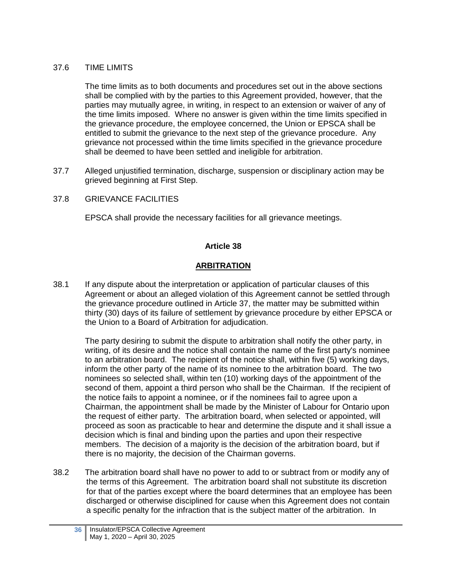#### 37.6 TIME LIMITS

The time limits as to both documents and procedures set out in the above sections shall be complied with by the parties to this Agreement provided, however, that the parties may mutually agree, in writing, in respect to an extension or waiver of any of the time limits imposed. Where no answer is given within the time limits specified in the grievance procedure, the employee concerned, the Union or EPSCA shall be entitled to submit the grievance to the next step of the grievance procedure. Any grievance not processed within the time limits specified in the grievance procedure shall be deemed to have been settled and ineligible for arbitration.

37.7 Alleged unjustified termination, discharge, suspension or disciplinary action may be grieved beginning at First Step.

## 37.8 GRIEVANCE FACILITIES

EPSCA shall provide the necessary facilities for all grievance meetings.

## **Article 38**

# **ARBITRATION**

<span id="page-39-0"></span>38.1 If any dispute about the interpretation or application of particular clauses of this Agreement or about an alleged violation of this Agreement cannot be settled through the grievance procedure outlined in Article 37, the matter may be submitted within thirty (30) days of its failure of settlement by grievance procedure by either EPSCA or the Union to a Board of Arbitration for adjudication.

The party desiring to submit the dispute to arbitration shall notify the other party, in writing, of its desire and the notice shall contain the name of the first party's nominee to an arbitration board. The recipient of the notice shall, within five (5) working days, inform the other party of the name of its nominee to the arbitration board. The two nominees so selected shall, within ten (10) working days of the appointment of the second of them, appoint a third person who shall be the Chairman. If the recipient of the notice fails to appoint a nominee, or if the nominees fail to agree upon a Chairman, the appointment shall be made by the Minister of Labour for Ontario upon the request of either party. The arbitration board, when selected or appointed, will proceed as soon as practicable to hear and determine the dispute and it shall issue a decision which is final and binding upon the parties and upon their respective members. The decision of a majority is the decision of the arbitration board, but if there is no majority, the decision of the Chairman governs.

38.2 The arbitration board shall have no power to add to or subtract from or modify any of the terms of this Agreement. The arbitration board shall not substitute its discretion for that of the parties except where the board determines that an employee has been discharged or otherwise disciplined for cause when this Agreement does not contain a specific penalty for the infraction that is the subject matter of the arbitration. In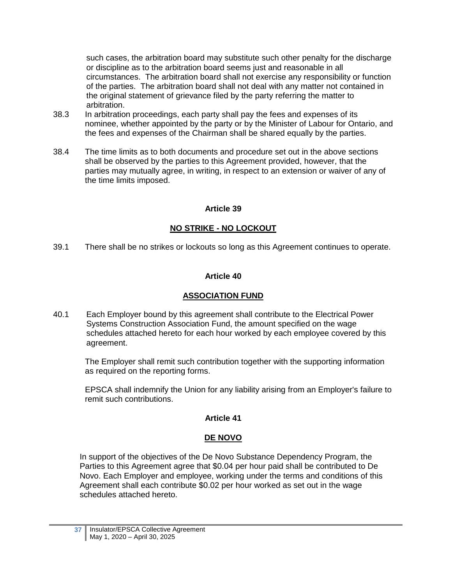such cases, the arbitration board may substitute such other penalty for the discharge or discipline as to the arbitration board seems just and reasonable in all circumstances. The arbitration board shall not exercise any responsibility or function of the parties. The arbitration board shall not deal with any matter not contained in the original statement of grievance filed by the party referring the matter to arbitration.

- 38.3 In arbitration proceedings, each party shall pay the fees and expenses of its nominee, whether appointed by the party or by the Minister of Labour for Ontario, and the fees and expenses of the Chairman shall be shared equally by the parties.
- 38.4 The time limits as to both documents and procedure set out in the above sections shall be observed by the parties to this Agreement provided, however, that the parties may mutually agree, in writing, in respect to an extension or waiver of any of the time limits imposed.

### **Article 39**

## **NO STRIKE - NO LOCKOUT**

<span id="page-40-1"></span><span id="page-40-0"></span>39.1 There shall be no strikes or lockouts so long as this Agreement continues to operate.

## **Article 40**

# **ASSOCIATION FUND**

40.1 Each Employer bound by this agreement shall contribute to the Electrical Power Systems Construction Association Fund, the amount specified on the wage schedules attached hereto for each hour worked by each employee covered by this agreement.

The Employer shall remit such contribution together with the supporting information as required on the reporting forms.

<span id="page-40-2"></span>EPSCA shall indemnify the Union for any liability arising from an Employer's failure to remit such contributions.

### **Article 41**

### **DE NOVO**

In support of the objectives of the De Novo Substance Dependency Program, the Parties to this Agreement agree that \$0.04 per hour paid shall be contributed to De Novo. Each Employer and employee, working under the terms and conditions of this Agreement shall each contribute \$0.02 per hour worked as set out in the wage schedules attached hereto.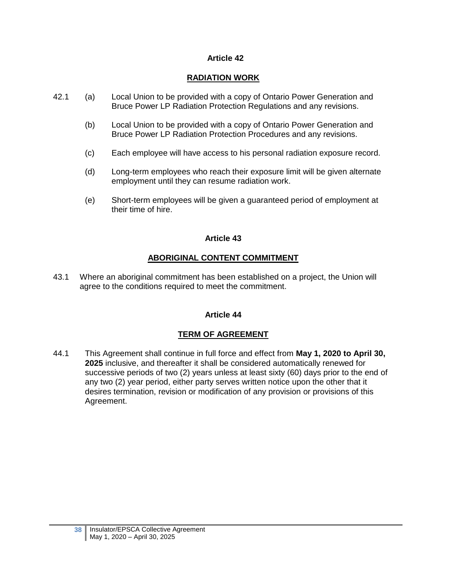# **RADIATION WORK**

- <span id="page-41-0"></span>42.1 (a) Local Union to be provided with a copy of Ontario Power Generation and Bruce Power LP Radiation Protection Regulations and any revisions.
	- (b) Local Union to be provided with a copy of Ontario Power Generation and Bruce Power LP Radiation Protection Procedures and any revisions.
	- (c) Each employee will have access to his personal radiation exposure record.
	- (d) Long-term employees who reach their exposure limit will be given alternate employment until they can resume radiation work.
	- (e) Short-term employees will be given a guaranteed period of employment at their time of hire.

## **Article 43**

## **ABORIGINAL CONTENT COMMITMENT**

<span id="page-41-2"></span><span id="page-41-1"></span>43.1 Where an aboriginal commitment has been established on a project, the Union will agree to the conditions required to meet the commitment.

### **Article 44**

# **TERM OF AGREEMENT**

44.1 This Agreement shall continue in full force and effect from **May 1, 2020 to April 30, 2025** inclusive, and thereafter it shall be considered automatically renewed for successive periods of two (2) years unless at least sixty (60) days prior to the end of any two (2) year period, either party serves written notice upon the other that it desires termination, revision or modification of any provision or provisions of this Agreement.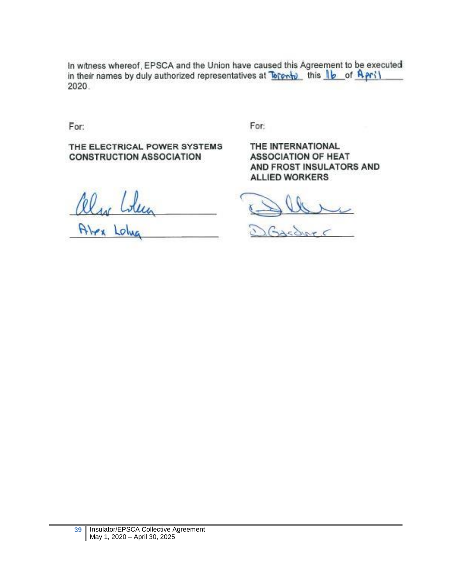In witness whereof, EPSCA and the Union have caused this Agreement to be executed in their names by duly authorized representatives at Torphin this 16 of April 2020.

For:

THE ELECTRICAL POWER SYSTEMS **CONSTRUCTION ASSOCIATION** 

For:

THE INTERNATIONAL **ASSOCIATION OF HEAT** AND FROST INSULATORS AND **ALLIED WORKERS** 

alw Lolen

Sasdars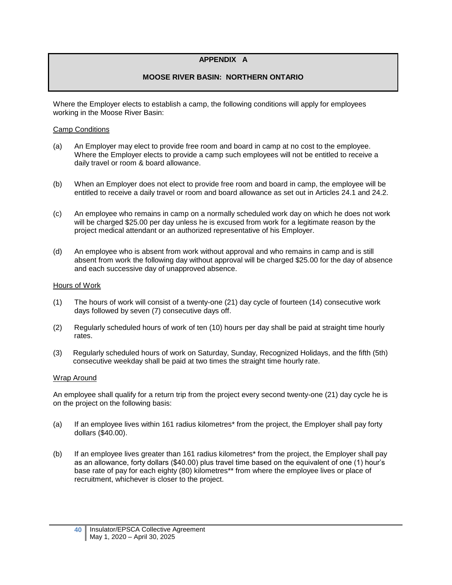#### **APPENDIX A**

#### **MOOSE RIVER BASIN: NORTHERN ONTARIO**

<span id="page-43-0"></span>Where the Employer elects to establish a camp, the following conditions will apply for employees working in the Moose River Basin:

#### Camp Conditions

- (a) An Employer may elect to provide free room and board in camp at no cost to the employee. Where the Employer elects to provide a camp such employees will not be entitled to receive a daily travel or room & board allowance.
- (b) When an Employer does not elect to provide free room and board in camp, the employee will be entitled to receive a daily travel or room and board allowance as set out in Articles 24.1 and 24.2.
- (c) An employee who remains in camp on a normally scheduled work day on which he does not work will be charged \$25.00 per day unless he is excused from work for a legitimate reason by the project medical attendant or an authorized representative of his Employer.
- (d) An employee who is absent from work without approval and who remains in camp and is still absent from work the following day without approval will be charged \$25.00 for the day of absence and each successive day of unapproved absence.

#### Hours of Work

- (1) The hours of work will consist of a twenty-one (21) day cycle of fourteen (14) consecutive work days followed by seven (7) consecutive days off.
- (2) Regularly scheduled hours of work of ten (10) hours per day shall be paid at straight time hourly rates.
- (3) Regularly scheduled hours of work on Saturday, Sunday, Recognized Holidays, and the fifth (5th) consecutive weekday shall be paid at two times the straight time hourly rate.

#### Wrap Around

An employee shall qualify for a return trip from the project every second twenty-one (21) day cycle he is on the project on the following basis:

- (a) If an employee lives within 161 radius kilometres\* from the project, the Employer shall pay forty dollars (\$40.00).
- (b) If an employee lives greater than 161 radius kilometres\* from the project, the Employer shall pay as an allowance, forty dollars (\$40.00) plus travel time based on the equivalent of one (1) hour's base rate of pay for each eighty (80) kilometres\*\* from where the employee lives or place of recruitment, whichever is closer to the project.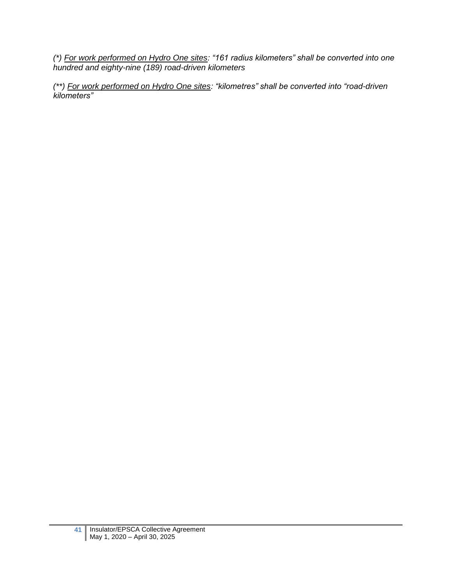*(\*) For work performed on Hydro One sites: "161 radius kilometers" shall be converted into one hundred and eighty-nine (189) road-driven kilometers*

*(\*\*) For work performed on Hydro One sites: "kilometres" shall be converted into "road-driven kilometers"*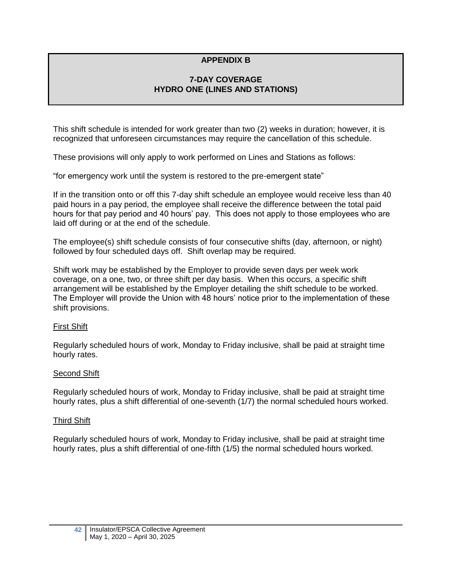# **APPENDIX B**

## **7-DAY COVERAGE HYDRO ONE (LINES AND STATIONS)**

<span id="page-45-0"></span>This shift schedule is intended for work greater than two (2) weeks in duration; however, it is recognized that unforeseen circumstances may require the cancellation of this schedule.

These provisions will only apply to work performed on Lines and Stations as follows:

"for emergency work until the system is restored to the pre-emergent state"

If in the transition onto or off this 7-day shift schedule an employee would receive less than 40 paid hours in a pay period, the employee shall receive the difference between the total paid hours for that pay period and 40 hours' pay. This does not apply to those employees who are laid off during or at the end of the schedule.

The employee(s) shift schedule consists of four consecutive shifts (day, afternoon, or night) followed by four scheduled days off. Shift overlap may be required.

Shift work may be established by the Employer to provide seven days per week work coverage, on a one, two, or three shift per day basis. When this occurs, a specific shift arrangement will be established by the Employer detailing the shift schedule to be worked. The Employer will provide the Union with 48 hours' notice prior to the implementation of these shift provisions.

#### First Shift

Regularly scheduled hours of work, Monday to Friday inclusive, shall be paid at straight time hourly rates.

#### Second Shift

Regularly scheduled hours of work, Monday to Friday inclusive, shall be paid at straight time hourly rates, plus a shift differential of one-seventh (1/7) the normal scheduled hours worked.

#### Third Shift

Regularly scheduled hours of work, Monday to Friday inclusive, shall be paid at straight time hourly rates, plus a shift differential of one-fifth (1/5) the normal scheduled hours worked.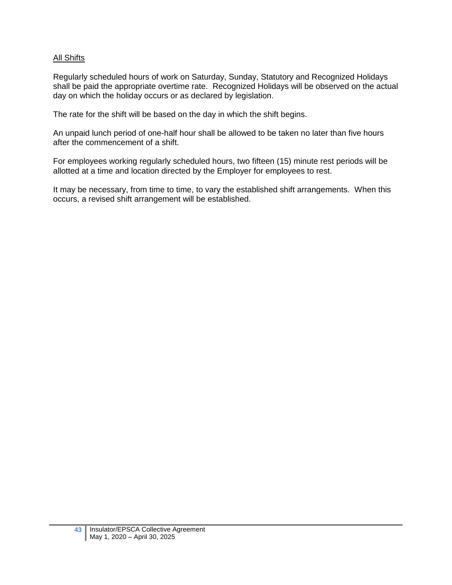### All Shifts

Regularly scheduled hours of work on Saturday, Sunday, Statutory and Recognized Holidays shall be paid the appropriate overtime rate. Recognized Holidays will be observed on the actual day on which the holiday occurs or as declared by legislation.

The rate for the shift will be based on the day in which the shift begins.

An unpaid lunch period of one-half hour shall be allowed to be taken no later than five hours after the commencement of a shift.

For employees working regularly scheduled hours, two fifteen (15) minute rest periods will be allotted at a time and location directed by the Employer for employees to rest.

It may be necessary, from time to time, to vary the established shift arrangements. When this occurs, a revised shift arrangement will be established.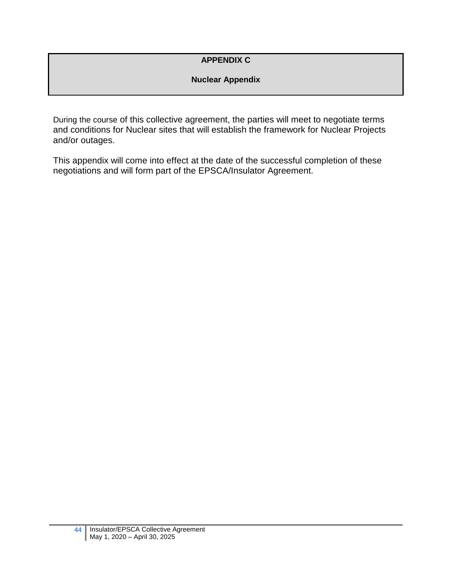# **APPENDIX C**

# **Nuclear Appendix**

<span id="page-47-0"></span>During the course of this collective agreement, the parties will meet to negotiate terms and conditions for Nuclear sites that will establish the framework for Nuclear Projects and/or outages.

This appendix will come into effect at the date of the successful completion of these negotiations and will form part of the EPSCA/Insulator Agreement.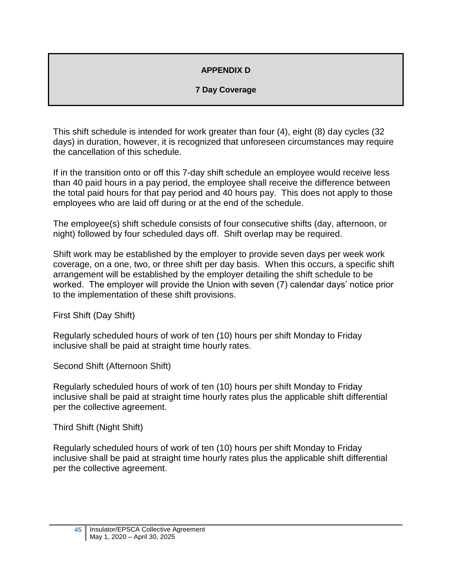# **APPENDIX D**

# **7 Day Coverage**

<span id="page-48-0"></span>This shift schedule is intended for work greater than four (4), eight (8) day cycles (32 days) in duration, however, it is recognized that unforeseen circumstances may require the cancellation of this schedule.

If in the transition onto or off this 7-day shift schedule an employee would receive less than 40 paid hours in a pay period, the employee shall receive the difference between the total paid hours for that pay period and 40 hours pay. This does not apply to those employees who are laid off during or at the end of the schedule.

The employee(s) shift schedule consists of four consecutive shifts (day, afternoon, or night) followed by four scheduled days off. Shift overlap may be required.

Shift work may be established by the employer to provide seven days per week work coverage, on a one, two, or three shift per day basis. When this occurs, a specific shift arrangement will be established by the employer detailing the shift schedule to be worked. The employer will provide the Union with seven (7) calendar days' notice prior to the implementation of these shift provisions.

First Shift (Day Shift)

Regularly scheduled hours of work of ten (10) hours per shift Monday to Friday inclusive shall be paid at straight time hourly rates.

Second Shift (Afternoon Shift)

Regularly scheduled hours of work of ten (10) hours per shift Monday to Friday inclusive shall be paid at straight time hourly rates plus the applicable shift differential per the collective agreement.

Third Shift (Night Shift)

Regularly scheduled hours of work of ten (10) hours per shift Monday to Friday inclusive shall be paid at straight time hourly rates plus the applicable shift differential per the collective agreement.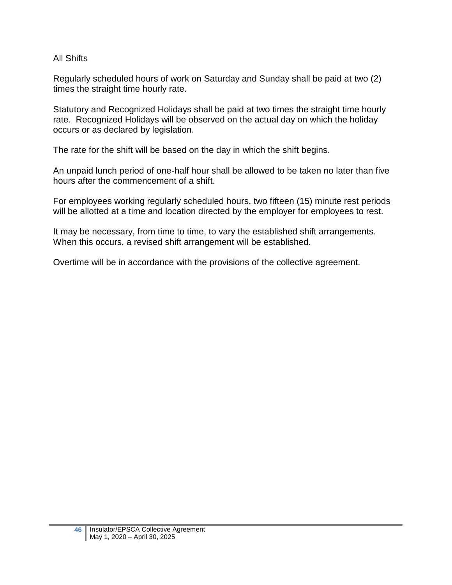# All Shifts

Regularly scheduled hours of work on Saturday and Sunday shall be paid at two (2) times the straight time hourly rate.

Statutory and Recognized Holidays shall be paid at two times the straight time hourly rate. Recognized Holidays will be observed on the actual day on which the holiday occurs or as declared by legislation.

The rate for the shift will be based on the day in which the shift begins.

An unpaid lunch period of one-half hour shall be allowed to be taken no later than five hours after the commencement of a shift.

For employees working regularly scheduled hours, two fifteen (15) minute rest periods will be allotted at a time and location directed by the employer for employees to rest.

It may be necessary, from time to time, to vary the established shift arrangements. When this occurs, a revised shift arrangement will be established.

Overtime will be in accordance with the provisions of the collective agreement.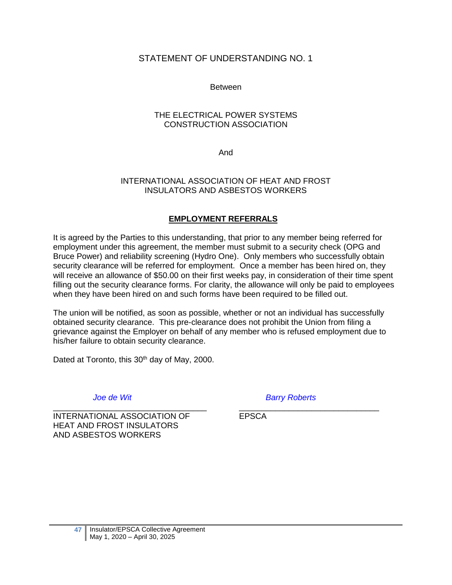# <span id="page-50-0"></span>STATEMENT OF UNDERSTANDING NO. 1

Between

#### THE ELECTRICAL POWER SYSTEMS CONSTRUCTION ASSOCIATION

And

#### INTERNATIONAL ASSOCIATION OF HEAT AND FROST INSULATORS AND ASBESTOS WORKERS

## **EMPLOYMENT REFERRALS**

It is agreed by the Parties to this understanding, that prior to any member being referred for employment under this agreement, the member must submit to a security check (OPG and Bruce Power) and reliability screening (Hydro One). Only members who successfully obtain security clearance will be referred for employment. Once a member has been hired on, they will receive an allowance of \$50.00 on their first weeks pay, in consideration of their time spent filling out the security clearance forms. For clarity, the allowance will only be paid to employees when they have been hired on and such forms have been required to be filled out.

The union will be notified, as soon as possible, whether or not an individual has successfully obtained security clearance. This pre-clearance does not prohibit the Union from filing a grievance against the Employer on behalf of any member who is refused employment due to his/her failure to obtain security clearance.

Dated at Toronto, this 30<sup>th</sup> day of May, 2000.

\_\_\_\_\_\_\_\_\_\_\_\_\_\_\_\_\_\_\_\_\_\_\_\_\_\_\_\_\_\_\_\_\_\_ \_\_\_\_\_\_\_\_\_\_\_\_\_\_\_\_\_\_\_\_\_\_\_\_\_\_\_\_\_\_\_ INTERNATIONAL ASSOCIATION OF FPSCA HEAT AND FROST INSULATORS AND ASBESTOS WORKERS

*Joe de Wit Barry Roberts*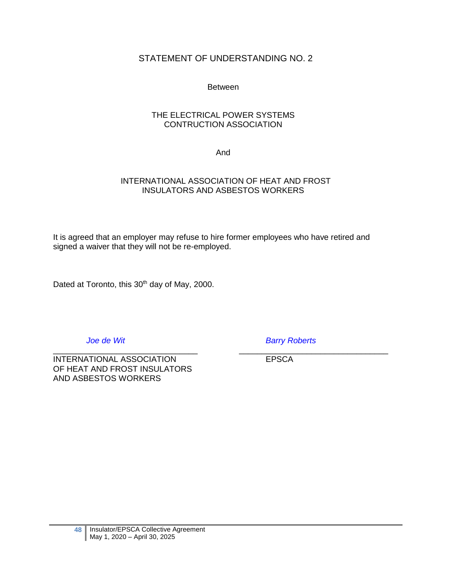# <span id="page-51-0"></span>STATEMENT OF UNDERSTANDING NO. 2

#### **Between**

#### THE ELECTRICAL POWER SYSTEMS CONTRUCTION ASSOCIATION

And

### INTERNATIONAL ASSOCIATION OF HEAT AND FROST INSULATORS AND ASBESTOS WORKERS

It is agreed that an employer may refuse to hire former employees who have retired and signed a waiver that they will not be re-employed.

Dated at Toronto, this 30<sup>th</sup> day of May, 2000.

\_\_\_\_\_\_\_\_\_\_\_\_\_\_\_\_\_\_\_\_\_\_\_\_\_\_\_\_\_\_\_\_ \_\_\_\_\_\_\_\_\_\_\_\_\_\_\_\_\_\_\_\_\_\_\_\_\_\_\_\_\_\_\_\_\_ INTERNATIONAL ASSOCIATION EPSCA OF HEAT AND FROST INSULATORS AND ASBESTOS WORKERS

*Joe de Wit Barry Roberts*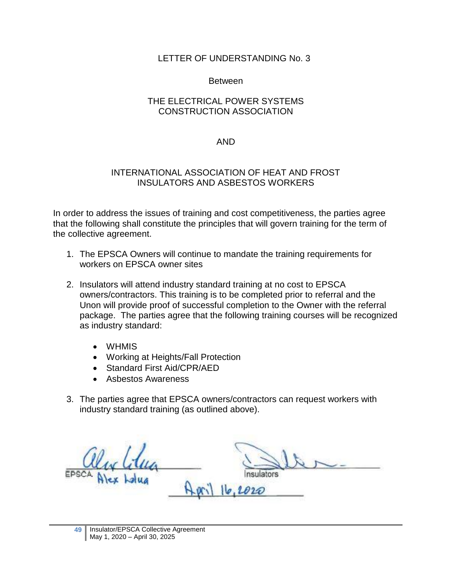## Between

# <span id="page-52-0"></span>THE ELECTRICAL POWER SYSTEMS CONSTRUCTION ASSOCIATION

## AND

## INTERNATIONAL ASSOCIATION OF HEAT AND FROST INSULATORS AND ASBESTOS WORKERS

In order to address the issues of training and cost competitiveness, the parties agree that the following shall constitute the principles that will govern training for the term of the collective agreement.

- 1. The EPSCA Owners will continue to mandate the training requirements for workers on EPSCA owner sites
- 2. Insulators will attend industry standard training at no cost to EPSCA owners/contractors. This training is to be completed prior to referral and the Unon will provide proof of successful completion to the Owner with the referral package. The parties agree that the following training courses will be recognized as industry standard:
	- WHMIS
	- Working at Heights/Fall Protection
	- Standard First Aid/CPR/AED
	- Asbestos Awareness
- 3. The parties agree that EPSCA owners/contractors can request workers with industry standard training (as outlined above).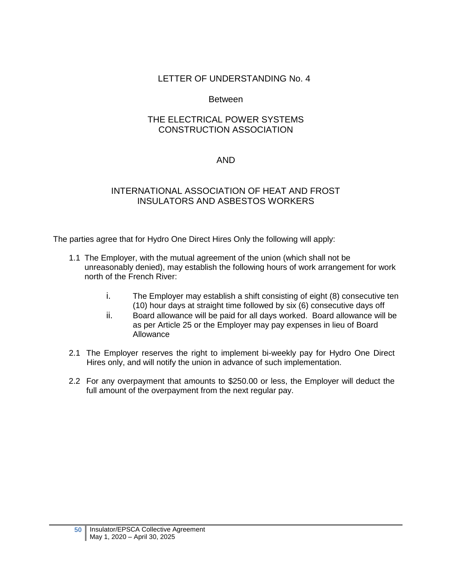# Between

# <span id="page-53-0"></span>THE ELECTRICAL POWER SYSTEMS CONSTRUCTION ASSOCIATION

## AND

# INTERNATIONAL ASSOCIATION OF HEAT AND FROST INSULATORS AND ASBESTOS WORKERS

The parties agree that for Hydro One Direct Hires Only the following will apply:

- 1.1 The Employer, with the mutual agreement of the union (which shall not be unreasonably denied), may establish the following hours of work arrangement for work north of the French River:
	- i. The Employer may establish a shift consisting of eight (8) consecutive ten (10) hour days at straight time followed by six (6) consecutive days off
	- ii. Board allowance will be paid for all days worked. Board allowance will be as per Article 25 or the Employer may pay expenses in lieu of Board Allowance
- 2.1 The Employer reserves the right to implement bi-weekly pay for Hydro One Direct Hires only, and will notify the union in advance of such implementation.
- <span id="page-53-1"></span>2.2 For any overpayment that amounts to \$250.00 or less, the Employer will deduct the full amount of the overpayment from the next regular pay.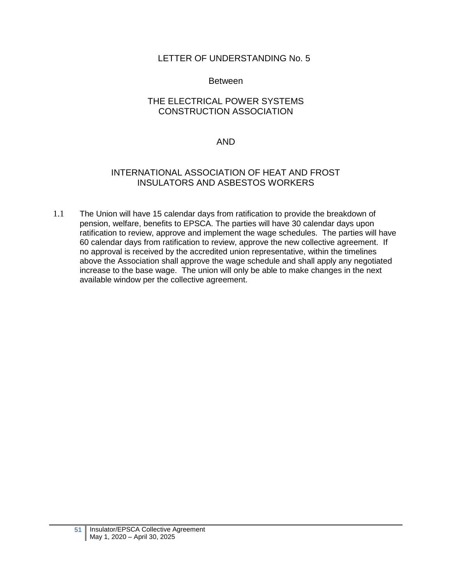## Between

# THE ELECTRICAL POWER SYSTEMS CONSTRUCTION ASSOCIATION

## AND

## INTERNATIONAL ASSOCIATION OF HEAT AND FROST INSULATORS AND ASBESTOS WORKERS

1.1 The Union will have 15 calendar days from ratification to provide the breakdown of pension, welfare, benefits to EPSCA. The parties will have 30 calendar days upon ratification to review, approve and implement the wage schedules. The parties will have 60 calendar days from ratification to review, approve the new collective agreement. If no approval is received by the accredited union representative, within the timelines above the Association shall approve the wage schedule and shall apply any negotiated increase to the base wage. The union will only be able to make changes in the next available window per the collective agreement.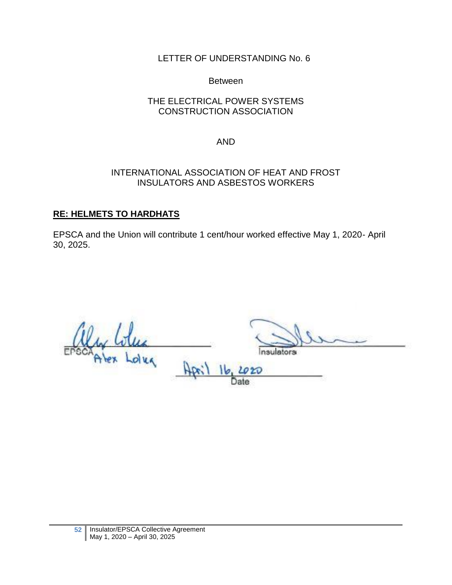# Between

# <span id="page-55-0"></span>THE ELECTRICAL POWER SYSTEMS CONSTRUCTION ASSOCIATION

# AND

# INTERNATIONAL ASSOCIATION OF HEAT AND FROST INSULATORS AND ASBESTOS WORKERS

# **RE: HELMETS TO HARDHATS**

EPSCA and the Union will contribute 1 cent/hour worked effective May 1, 2020- April 30, 2025.

ators dug  $16$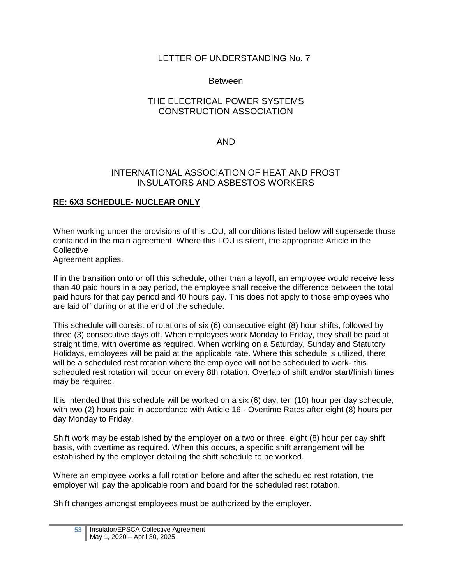# Between

# <span id="page-56-0"></span>THE ELECTRICAL POWER SYSTEMS CONSTRUCTION ASSOCIATION

# AND

## INTERNATIONAL ASSOCIATION OF HEAT AND FROST INSULATORS AND ASBESTOS WORKERS

## **RE: 6X3 SCHEDULE- NUCLEAR ONLY**

When working under the provisions of this LOU, all conditions listed below will supersede those contained in the main agreement. Where this LOU is silent, the appropriate Article in the **Collective** Agreement applies.

If in the transition onto or off this schedule, other than a layoff, an employee would receive less than 40 paid hours in a pay period, the employee shall receive the difference between the total paid hours for that pay period and 40 hours pay. This does not apply to those employees who are laid off during or at the end of the schedule.

This schedule will consist of rotations of six (6) consecutive eight (8) hour shifts, followed by three (3) consecutive days off. When employees work Monday to Friday, they shall be paid at straight time, with overtime as required. When working on a Saturday, Sunday and Statutory Holidays, employees will be paid at the applicable rate. Where this schedule is utilized, there will be a scheduled rest rotation where the employee will not be scheduled to work- this scheduled rest rotation will occur on every 8th rotation. Overlap of shift and/or start/finish times may be required.

It is intended that this schedule will be worked on a six (6) day, ten (10) hour per day schedule, with two (2) hours paid in accordance with Article 16 - Overtime Rates after eight (8) hours per day Monday to Friday.

Shift work may be established by the employer on a two or three, eight (8) hour per day shift basis, with overtime as required. When this occurs, a specific shift arrangement will be established by the employer detailing the shift schedule to be worked.

Where an employee works a full rotation before and after the scheduled rest rotation, the employer will pay the applicable room and board for the scheduled rest rotation.

Shift changes amongst employees must be authorized by the employer.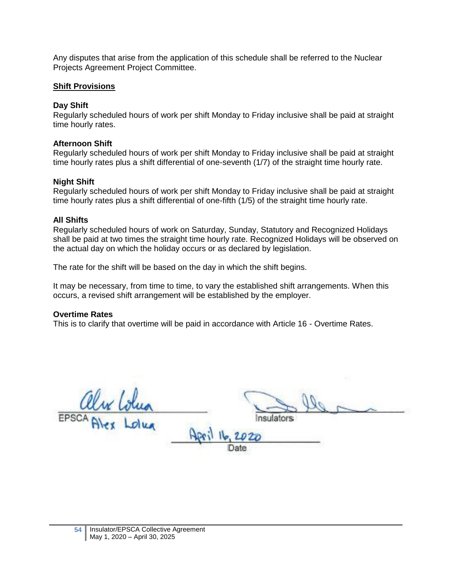Any disputes that arise from the application of this schedule shall be referred to the Nuclear Projects Agreement Project Committee.

### **Shift Provisions**

## **Day Shift**

Regularly scheduled hours of work per shift Monday to Friday inclusive shall be paid at straight time hourly rates.

## **Afternoon Shift**

Regularly scheduled hours of work per shift Monday to Friday inclusive shall be paid at straight time hourly rates plus a shift differential of one-seventh (1/7) of the straight time hourly rate.

## **Night Shift**

Regularly scheduled hours of work per shift Monday to Friday inclusive shall be paid at straight time hourly rates plus a shift differential of one-fifth (1/5) of the straight time hourly rate.

## **All Shifts**

Regularly scheduled hours of work on Saturday, Sunday, Statutory and Recognized Holidays shall be paid at two times the straight time hourly rate. Recognized Holidays will be observed on the actual day on which the holiday occurs or as declared by legislation.

The rate for the shift will be based on the day in which the shift begins.

It may be necessary, from time to time, to vary the established shift arrangements. When this occurs, a revised shift arrangement will be established by the employer.

### **Overtime Rates**

This is to clarify that overtime will be paid in accordance with Article 16 - Overtime Rates.

EPSCA Alex Lolua Insulators Apri